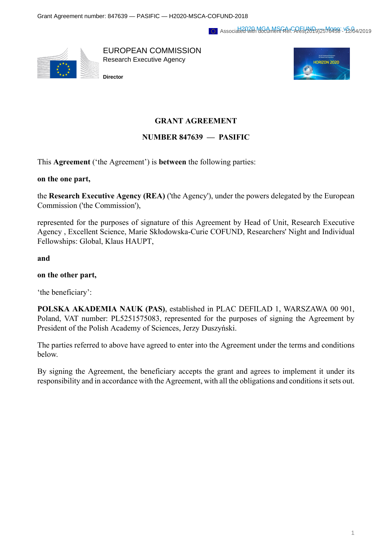#### Associated with MGamMar Ref. Ares(2049)2576458 - 42/04/2019



EUROPEAN COMMISSION Research Executive Agency

**Director**



# **GRANT AGREEMENT**

# **NUMBER 847639 — PASIFIC**

This **Agreement** ('the Agreement') is **between** the following parties:

#### **on the one part,**

the **Research Executive Agency (REA)** ('the Agency'), under the powers delegated by the European Commission ('the Commission'),

represented for the purposes of signature of this Agreement by Head of Unit, Research Executive Agency , Excellent Science, Marie Skłodowska-Curie COFUND, Researchers' Night and Individual Fellowships: Global, Klaus HAUPT,

**and**

#### **on the other part,**

'the beneficiary':

**POLSKA AKADEMIA NAUK (PAS)**, established in PLAC DEFILAD 1, WARSZAWA 00 901, Poland, VAT number: PL5251575083, represented for the purposes of signing the Agreement by President of the Polish Academy of Sciences, Jerzy Duszyński.

The parties referred to above have agreed to enter into the Agreement under the terms and conditions below.

By signing the Agreement, the beneficiary accepts the grant and agrees to implement it under its responsibility and in accordance with the Agreement, with all the obligations and conditions it sets out.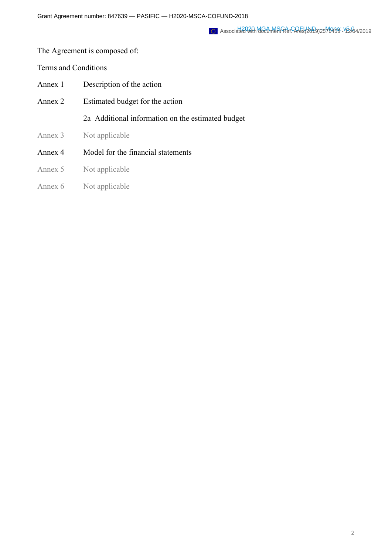### The Agreement is composed of:

#### Terms and Conditions

- Annex 1 Description of the action
- Annex 2 Estimated budget for the action

2a Additional information on the estimated budget

- Annex 3 Not applicable
- Annex 4 Model for the financial statements
- Annex 5 Not applicable
- Annex 6 Not applicable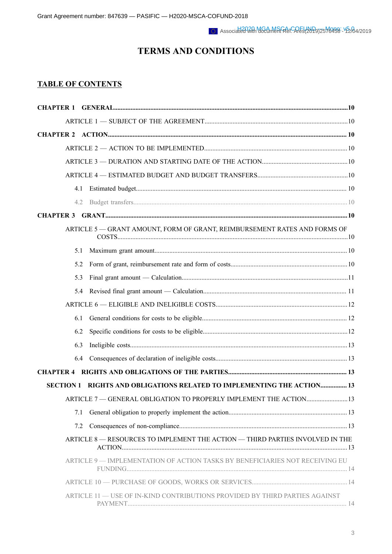# **TERMS AND CONDITIONS**

# **TABLE OF CONTENTS**

| 4.1                                                                           |  |
|-------------------------------------------------------------------------------|--|
| 4.2                                                                           |  |
| <b>CHAPTER 3</b>                                                              |  |
| ARTICLE 5 - GRANT AMOUNT, FORM OF GRANT, REIMBURSEMENT RATES AND FORMS OF     |  |
| 5.1                                                                           |  |
| 5.2                                                                           |  |
| 5.3                                                                           |  |
| 5.4                                                                           |  |
|                                                                               |  |
| 6.1                                                                           |  |
| 6.2                                                                           |  |
| 6.3                                                                           |  |
| 6.4                                                                           |  |
|                                                                               |  |
| SECTION 1 RIGHTS AND OBLIGATIONS RELATED TO IMPLEMENTING THE ACTION 13        |  |
| ARTICLE 7 - GENERAL OBLIGATION TO PROPERLY IMPLEMENT THE ACTION 13            |  |
| 7.1                                                                           |  |
| 7.2                                                                           |  |
| ARTICLE 8 - RESOURCES TO IMPLEMENT THE ACTION - THIRD PARTIES INVOLVED IN THE |  |
| ARTICLE 9 - IMPLEMENTATION OF ACTION TASKS BY BENEFICIARIES NOT RECEIVING EU  |  |
|                                                                               |  |
| ARTICLE 11 — USE OF IN-KIND CONTRIBUTIONS PROVIDED BY THIRD PARTIES AGAINST   |  |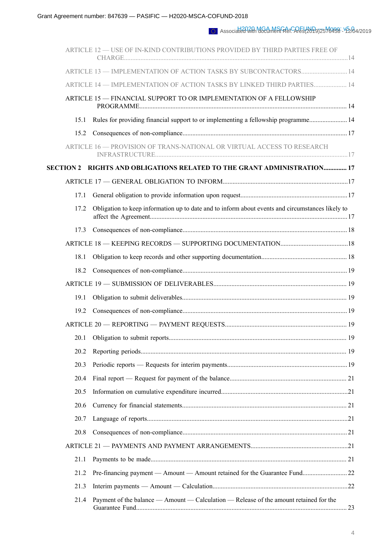|      | ARTICLE 12 - USE OF IN-KIND CONTRIBUTIONS PROVIDED BY THIRD PARTIES FREE OF                      |  |
|------|--------------------------------------------------------------------------------------------------|--|
|      | ARTICLE 13 - IMPLEMENTATION OF ACTION TASKS BY SUBCONTRACTORS 14                                 |  |
|      | ARTICLE 14 - IMPLEMENTATION OF ACTION TASKS BY LINKED THIRD PARTIES 14                           |  |
|      | ARTICLE 15 - FINANCIAL SUPPORT TO OR IMPLEMENTATION OF A FELLOWSHIP                              |  |
| 15.1 | Rules for providing financial support to or implementing a fellowship programme 14               |  |
| 15.2 |                                                                                                  |  |
|      | ARTICLE 16 - PROVISION OF TRANS-NATIONAL OR VIRTUAL ACCESS TO RESEARCH                           |  |
|      | SECTION 2    RIGHTS AND OBLIGATIONS RELATED TO THE GRANT ADMINISTRATION 17                       |  |
|      |                                                                                                  |  |
| 17.1 |                                                                                                  |  |
| 17.2 | Obligation to keep information up to date and to inform about events and circumstances likely to |  |
| 17.3 |                                                                                                  |  |
|      |                                                                                                  |  |
| 18.1 |                                                                                                  |  |
| 18.2 |                                                                                                  |  |
|      |                                                                                                  |  |
| 19.1 |                                                                                                  |  |
| 19.2 |                                                                                                  |  |
|      |                                                                                                  |  |
| 20.1 |                                                                                                  |  |
| 20.2 |                                                                                                  |  |
| 20.3 |                                                                                                  |  |
| 20.4 |                                                                                                  |  |
| 20.5 |                                                                                                  |  |
| 20.6 |                                                                                                  |  |
| 20.7 |                                                                                                  |  |
| 20.8 |                                                                                                  |  |
|      |                                                                                                  |  |
| 21.1 |                                                                                                  |  |
| 21.2 |                                                                                                  |  |
| 21.3 |                                                                                                  |  |
| 21.4 | Payment of the balance — Amount — Calculation — Release of the amount retained for the           |  |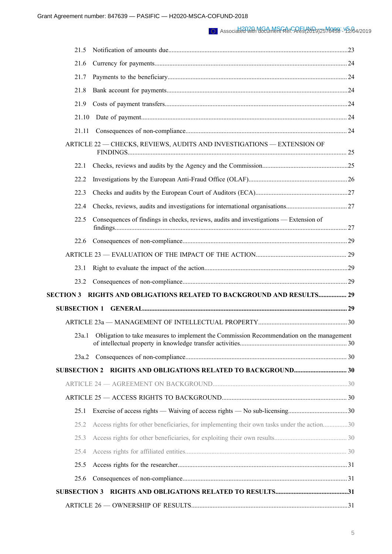#### Associated with MGamMar Ref. Ares(2049)2576458 - 42/04/2019

| 21.5                |                                                                                            |  |
|---------------------|--------------------------------------------------------------------------------------------|--|
| 21.6                |                                                                                            |  |
| 21.7                |                                                                                            |  |
| 21.8                |                                                                                            |  |
| 21.9                |                                                                                            |  |
| 21.10               |                                                                                            |  |
| 21.11               |                                                                                            |  |
|                     | ARTICLE 22 - CHECKS, REVIEWS, AUDITS AND INVESTIGATIONS - EXTENSION OF                     |  |
| 22.1                |                                                                                            |  |
| 22.2                |                                                                                            |  |
| 22.3                |                                                                                            |  |
| 22.4                |                                                                                            |  |
| 22.5                | Consequences of findings in checks, reviews, audits and investigations — Extension of      |  |
| 22.6                |                                                                                            |  |
|                     |                                                                                            |  |
| 23.1                |                                                                                            |  |
| 23.2                |                                                                                            |  |
| <b>SECTION 3</b>    | RIGHTS AND OBLIGATIONS RELATED TO BACKGROUND AND RESULTS 29                                |  |
| <b>SUBSECTION 1</b> |                                                                                            |  |
|                     |                                                                                            |  |
| 23a.1               | Obligation to take measures to implement the Commission Recommendation on the management   |  |
|                     |                                                                                            |  |
|                     | <b>SUBSECTION 2 RIGHTS AND OBLIGATIONS RELATED TO BACKGROUND 30</b>                        |  |
|                     |                                                                                            |  |
|                     |                                                                                            |  |
| 25.1                |                                                                                            |  |
| 25.2                | Access rights for other beneficiaries, for implementing their own tasks under the action30 |  |
| 25.3                |                                                                                            |  |
| 25.4                |                                                                                            |  |
| 25.5                |                                                                                            |  |
| 25.6                |                                                                                            |  |
| <b>SUBSECTION 3</b> |                                                                                            |  |
|                     |                                                                                            |  |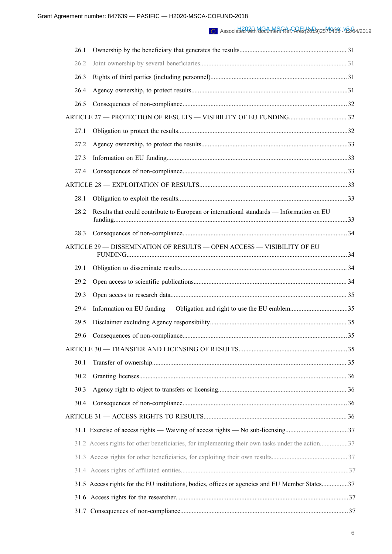#### Associated with MGamMar Ref. Ares(2049)2576458 - 42/04/2019

| 26.1 |                                                                                                 |  |
|------|-------------------------------------------------------------------------------------------------|--|
| 26.2 |                                                                                                 |  |
| 26.3 |                                                                                                 |  |
| 26.4 |                                                                                                 |  |
| 26.5 |                                                                                                 |  |
|      |                                                                                                 |  |
| 27.1 |                                                                                                 |  |
| 27.2 |                                                                                                 |  |
| 27.3 |                                                                                                 |  |
| 27.4 |                                                                                                 |  |
|      |                                                                                                 |  |
| 28.1 |                                                                                                 |  |
| 28.2 | Results that could contribute to European or international standards - Information on EU        |  |
| 28.3 |                                                                                                 |  |
|      | ARTICLE 29 - DISSEMINATION OF RESULTS - OPEN ACCESS - VISIBILITY OF EU                          |  |
| 29.1 |                                                                                                 |  |
| 29.2 |                                                                                                 |  |
| 29.3 |                                                                                                 |  |
| 29.4 |                                                                                                 |  |
| 29.5 |                                                                                                 |  |
| 29.6 |                                                                                                 |  |
|      |                                                                                                 |  |
| 30.1 |                                                                                                 |  |
| 30.2 |                                                                                                 |  |
| 30.3 |                                                                                                 |  |
| 30.4 |                                                                                                 |  |
|      |                                                                                                 |  |
|      |                                                                                                 |  |
|      | 31.2 Access rights for other beneficiaries, for implementing their own tasks under the action37 |  |
|      |                                                                                                 |  |
|      |                                                                                                 |  |
|      | 31.5 Access rights for the EU institutions, bodies, offices or agencies and EU Member States37  |  |
|      |                                                                                                 |  |
| 31.7 |                                                                                                 |  |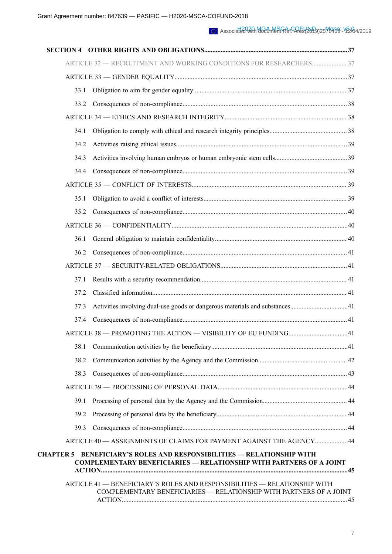| 33.1                                                                                                                                                                  |  |
|-----------------------------------------------------------------------------------------------------------------------------------------------------------------------|--|
| 33.2                                                                                                                                                                  |  |
|                                                                                                                                                                       |  |
| 34.1                                                                                                                                                                  |  |
| 34.2                                                                                                                                                                  |  |
| 34.3                                                                                                                                                                  |  |
| 34.4                                                                                                                                                                  |  |
|                                                                                                                                                                       |  |
| 35.1                                                                                                                                                                  |  |
| 35.2                                                                                                                                                                  |  |
|                                                                                                                                                                       |  |
| 36.1                                                                                                                                                                  |  |
| 36.2                                                                                                                                                                  |  |
|                                                                                                                                                                       |  |
| 37.1                                                                                                                                                                  |  |
| 37.2                                                                                                                                                                  |  |
| 37.3                                                                                                                                                                  |  |
| 37.4                                                                                                                                                                  |  |
|                                                                                                                                                                       |  |
| 38.1                                                                                                                                                                  |  |
| 38.2                                                                                                                                                                  |  |
| 38.3                                                                                                                                                                  |  |
|                                                                                                                                                                       |  |
| 39.1                                                                                                                                                                  |  |
| 39.2                                                                                                                                                                  |  |
| 39.3                                                                                                                                                                  |  |
| ARTICLE 40 - ASSIGNMENTS OF CLAIMS FOR PAYMENT AGAINST THE AGENCY44                                                                                                   |  |
| <b>BENEFICIARY'S ROLES AND RESPONSIBILITIES — RELATIONSHIP WITH</b><br><b>CHAPTER 5</b><br><b>COMPLEMENTARY BENEFICIARIES - RELATIONSHIP WITH PARTNERS OF A JOINT</b> |  |
| ARTICLE 41 - BENEFICIARY'S ROLES AND RESPONSIBILITIES - RELATIONSHIP WITH<br>COMPLEMENTARY BENEFICIARIES - RELATIONSHIP WITH PARTNERS OF A JOINT                      |  |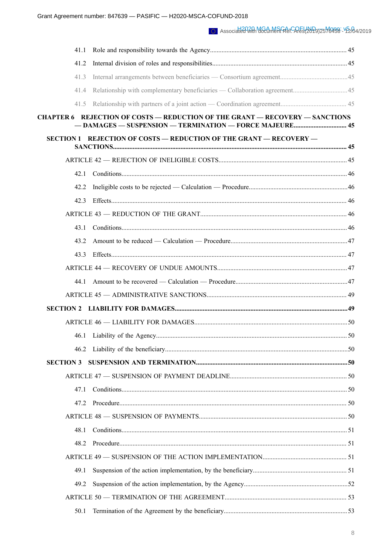| 41.1             |                                                                                     |  |
|------------------|-------------------------------------------------------------------------------------|--|
| 41.2             |                                                                                     |  |
| 41.3             |                                                                                     |  |
| 41.4             |                                                                                     |  |
| 41.5             |                                                                                     |  |
|                  | <b>CHAPTER 6 REJECTION OF COSTS - REDUCTION OF THE GRANT - RECOVERY - SANCTIONS</b> |  |
|                  | <b>SECTION 1 REJECTION OF COSTS - REDUCTION OF THE GRANT - RECOVERY -</b>           |  |
|                  |                                                                                     |  |
| 42.1             |                                                                                     |  |
| 42.2             |                                                                                     |  |
| 42.3             |                                                                                     |  |
|                  |                                                                                     |  |
| 43.1             |                                                                                     |  |
| 43.2             |                                                                                     |  |
| 43.3             |                                                                                     |  |
|                  |                                                                                     |  |
| 44.1             |                                                                                     |  |
|                  |                                                                                     |  |
|                  |                                                                                     |  |
|                  |                                                                                     |  |
|                  |                                                                                     |  |
| 46.2             |                                                                                     |  |
| <b>SECTION 3</b> |                                                                                     |  |
|                  |                                                                                     |  |
| 47.1             |                                                                                     |  |
| 47.2             |                                                                                     |  |
|                  |                                                                                     |  |
| 48.1             |                                                                                     |  |
| 48.2             |                                                                                     |  |
|                  |                                                                                     |  |
| 49.1             |                                                                                     |  |
| 49.2             |                                                                                     |  |
|                  |                                                                                     |  |
| 50.1             |                                                                                     |  |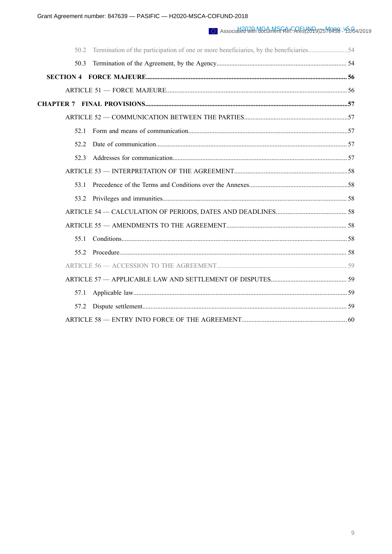| 50.3 |  |
|------|--|
|      |  |
|      |  |
|      |  |
|      |  |
| 52.1 |  |
| 52.2 |  |
| 52.3 |  |
|      |  |
| 53.1 |  |
|      |  |
|      |  |
|      |  |
| 55 1 |  |
| 55 2 |  |
|      |  |
|      |  |
| 57.1 |  |
| 57.2 |  |
|      |  |
|      |  |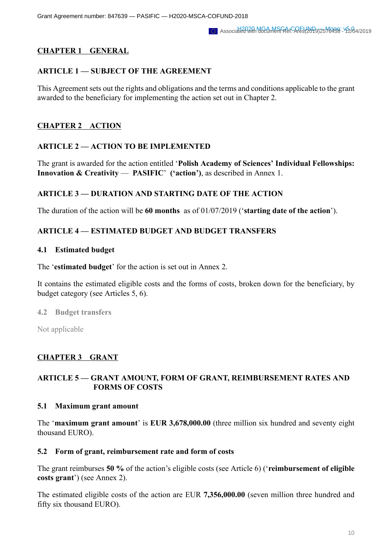# **CHAPTER 1 GENERAL**

# **ARTICLE 1 — SUBJECT OF THE AGREEMENT**

This Agreement sets out the rights and obligations and the terms and conditions applicable to the grant awarded to the beneficiary for implementing the action set out in Chapter 2.

# **CHAPTER 2 ACTION**

### **ARTICLE 2 — ACTION TO BE IMPLEMENTED**

The grant is awarded for the action entitled '**Polish Academy of Sciences' Individual Fellowships: Innovation & Creativity** — **PASIFIC**' **('action')**, as described in Annex 1.

### **ARTICLE 3 — DURATION AND STARTING DATE OF THE ACTION**

The duration of the action will be **60 months** as of 01/07/2019 ('**starting date of the action**').

### **ARTICLE 4 — ESTIMATED BUDGET AND BUDGET TRANSFERS**

#### **4.1 Estimated budget**

The '**estimated budget**' for the action is set out in Annex 2.

It contains the estimated eligible costs and the forms of costs, broken down for the beneficiary, by budget category (see Articles 5, 6).

**4.2 Budget transfers**

Not applicable

# **CHAPTER 3 GRANT**

# **ARTICLE 5 — GRANT AMOUNT, FORM OF GRANT, REIMBURSEMENT RATES AND FORMS OF COSTS**

#### **5.1 Maximum grant amount**

The '**maximum grant amount**' is **EUR 3,678,000.00** (three million six hundred and seventy eight thousand EURO).

#### **5.2 Form of grant, reimbursement rate and form of costs**

The grant reimburses **50 %** of the action's eligible costs (see Article 6) ('**reimbursement of eligible costs grant**') (see Annex 2).

The estimated eligible costs of the action are EUR **7,356,000.00** (seven million three hundred and fifty six thousand EURO).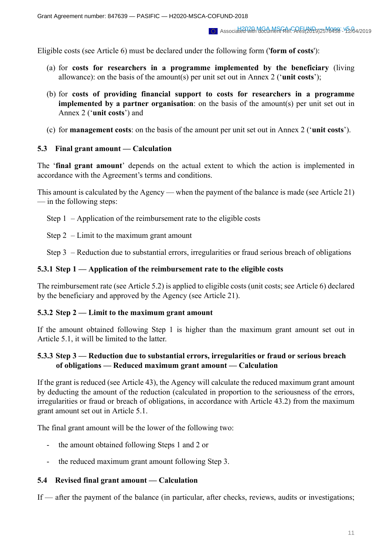Eligible costs (see Article 6) must be declared under the following form ('**form of costs**'):

- (a) for **costs for researchers in a programme implemented by the beneficiary** (living allowance): on the basis of the amount(s) per unit set out in Annex 2 ('**unit costs**');
- (b) for **costs of providing financial support to costs for researchers in a programme implemented by a partner organisation**: on the basis of the amount(s) per unit set out in Annex 2 ('**unit costs**') and
- (c) for **management costs**: on the basis of the amount per unit set out in Annex 2 ('**unit costs**').

### **5.3 Final grant amount — Calculation**

The '**final grant amount**' depends on the actual extent to which the action is implemented in accordance with the Agreement's terms and conditions.

This amount is calculated by the Agency — when the payment of the balance is made (see Article 21) — in the following steps:

Step 1 – Application of the reimbursement rate to the eligible costs

Step 2 – Limit to the maximum grant amount

Step 3 – Reduction due to substantial errors, irregularities or fraud serious breach of obligations

### **5.3.1 Step 1 — Application of the reimbursement rate to the eligible costs**

The reimbursement rate (see Article 5.2) is applied to eligible costs (unit costs; see Article 6) declared by the beneficiary and approved by the Agency (see Article 21).

#### **5.3.2 Step 2 — Limit to the maximum grant amount**

If the amount obtained following Step 1 is higher than the maximum grant amount set out in Article 5.1, it will be limited to the latter.

# **5.3.3 Step 3 — Reduction due to substantial errors, irregularities or fraud or serious breach of obligations — Reduced maximum grant amount — Calculation**

If the grant is reduced (see Article 43), the Agency will calculate the reduced maximum grant amount by deducting the amount of the reduction (calculated in proportion to the seriousness of the errors, irregularities or fraud or breach of obligations, in accordance with Article 43.2) from the maximum grant amount set out in Article 5.1.

The final grant amount will be the lower of the following two:

- the amount obtained following Steps 1 and 2 or
- the reduced maximum grant amount following Step 3.

# **5.4 Revised final grant amount — Calculation**

If — after the payment of the balance (in particular, after checks, reviews, audits or investigations;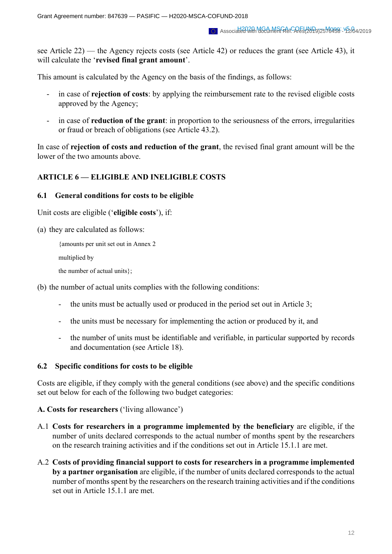see Article 22) — the Agency rejects costs (see Article 42) or reduces the grant (see Article 43), it will calculate the '**revised final grant amount**'.

This amount is calculated by the Agency on the basis of the findings, as follows:

- in case of **rejection of costs**: by applying the reimbursement rate to the revised eligible costs approved by the Agency;
- in case of **reduction of the grant**: in proportion to the seriousness of the errors, irregularities or fraud or breach of obligations (see Article 43.2).

In case of **rejection of costs and reduction of the grant**, the revised final grant amount will be the lower of the two amounts above.

# **ARTICLE 6 — ELIGIBLE AND INELIGIBLE COSTS**

### **6.1 General conditions for costs to be eligible**

Unit costs are eligible ('**eligible costs**'), if:

(a) they are calculated as follows:

```
{amounts per unit set out in Annex 2
```
multiplied by

the number of actual units};

(b) the number of actual units complies with the following conditions:

- the units must be actually used or produced in the period set out in Article 3;
- the units must be necessary for implementing the action or produced by it, and
- the number of units must be identifiable and verifiable, in particular supported by records and documentation (see Article 18).

# **6.2 Specific conditions for costs to be eligible**

Costs are eligible, if they comply with the general conditions (see above) and the specific conditions set out below for each of the following two budget categories:

# **A. Costs for researchers** ('living allowance')

- A.1 **Costs for researchers in a programme implemented by the beneficiary** are eligible, if the number of units declared corresponds to the actual number of months spent by the researchers on the research training activities and if the conditions set out in Article 15.1.1 are met.
- A.2 **Costs of providing financial support to costs for researchers in a programme implemented by a partner organisation** are eligible, if the number of units declared corresponds to the actual number of months spent by the researchers on the research training activities and if the conditions set out in Article 15.1.1 are met.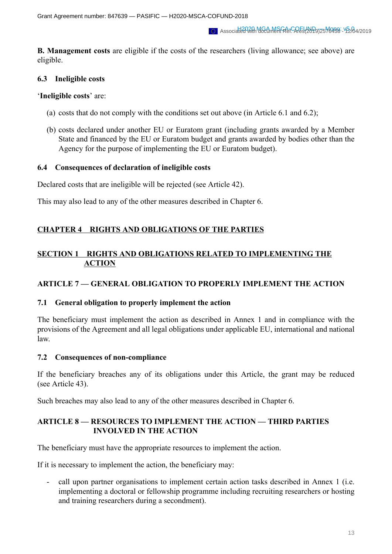**B. Management costs** are eligible if the costs of the researchers (living allowance; see above) are eligible.

# **6.3 Ineligible costs**

'**Ineligible costs**' are:

- (a) costs that do not comply with the conditions set out above (in Article 6.1 and 6.2);
- (b) costs declared under another EU or Euratom grant (including grants awarded by a Member State and financed by the EU or Euratom budget and grants awarded by bodies other than the Agency for the purpose of implementing the EU or Euratom budget).

### **6.4 Consequences of declaration of ineligible costs**

Declared costs that are ineligible will be rejected (see Article 42).

This may also lead to any of the other measures described in Chapter 6.

# **CHAPTER 4 RIGHTS AND OBLIGATIONS OF THE PARTIES**

# **SECTION 1 RIGHTS AND OBLIGATIONS RELATED TO IMPLEMENTING THE ACTION**

# **ARTICLE 7 — GENERAL OBLIGATION TO PROPERLY IMPLEMENT THE ACTION**

# **7.1 General obligation to properly implement the action**

The beneficiary must implement the action as described in Annex 1 and in compliance with the provisions of the Agreement and all legal obligations under applicable EU, international and national law.

#### **7.2 Consequences of non-compliance**

If the beneficiary breaches any of its obligations under this Article, the grant may be reduced (see Article 43).

Such breaches may also lead to any of the other measures described in Chapter 6.

# **ARTICLE 8 — RESOURCES TO IMPLEMENT THE ACTION — THIRD PARTIES INVOLVED IN THE ACTION**

The beneficiary must have the appropriate resources to implement the action.

If it is necessary to implement the action, the beneficiary may:

- call upon partner organisations to implement certain action tasks described in Annex 1 (i.e. implementing a doctoral or fellowship programme including recruiting researchers or hosting and training researchers during a secondment).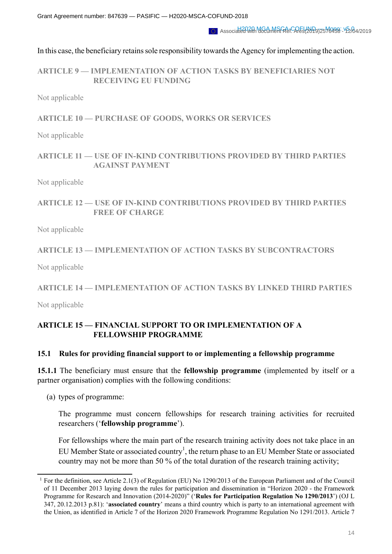In this case, the beneficiary retains sole responsibility towards the Agency for implementing the action.

**ARTICLE 9 — IMPLEMENTATION OF ACTION TASKS BY BENEFICIARIES NOT RECEIVING EU FUNDING**

Not applicable

**ARTICLE 10 — PURCHASE OF GOODS, WORKS OR SERVICES**

Not applicable

# **ARTICLE 11 — USE OF IN-KIND CONTRIBUTIONS PROVIDED BY THIRD PARTIES AGAINST PAYMENT**

Not applicable

**ARTICLE 12 — USE OF IN-KIND CONTRIBUTIONS PROVIDED BY THIRD PARTIES FREE OF CHARGE**

Not applicable

# **ARTICLE 13 — IMPLEMENTATION OF ACTION TASKS BY SUBCONTRACTORS**

Not applicable

# **ARTICLE 14 — IMPLEMENTATION OF ACTION TASKS BY LINKED THIRD PARTIES**

Not applicable

# **ARTICLE 15 — FINANCIAL SUPPORT TO OR IMPLEMENTATION OF A FELLOWSHIP PROGRAMME**

# **15.1 Rules for providing financial support to or implementing a fellowship programme**

**15.1.1** The beneficiary must ensure that the **fellowship programme** (implemented by itself or a partner organisation) complies with the following conditions:

(a) types of programme:

The programme must concern fellowships for research training activities for recruited researchers ('**fellowship programme**').

For fellowships where the main part of the research training activity does not take place in an EU Member State or associated country<sup>1</sup>, the return phase to an EU Member State or associated country may not be more than 50 % of the total duration of the research training activity;

<sup>&</sup>lt;sup>1</sup> For the definition, see Article 2.1(3) of Regulation (EU) No 1290/2013 of the European Parliament and of the Council of 11 December 2013 laying down the rules for participation and dissemination in "Horizon 2020 - the Framework Programme for Research and Innovation (2014-2020)" ('**Rules for Participation Regulation No 1290/2013**') (OJ L 347, 20.12.2013 p.81): '**associated country**' means a third country which is party to an international agreement with the Union, as identified in Article 7 of the Horizon 2020 Framework Programme Regulation No 1291/2013. Article 7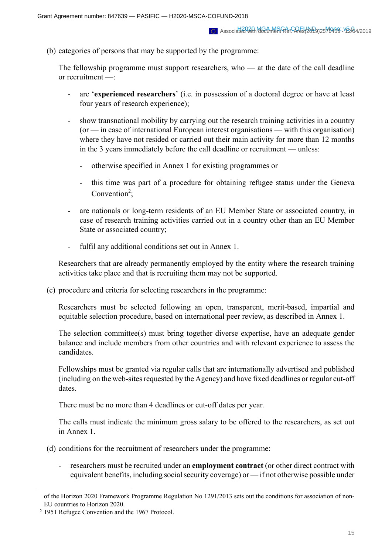(b) categories of persons that may be supported by the programme:

The fellowship programme must support researchers, who — at the date of the call deadline or recruitment —:

- are '**experienced researchers**' (i.e. in possession of a doctoral degree or have at least four years of research experience);
- show transnational mobility by carrying out the research training activities in a country (or — in case of international European interest organisations — with this organisation) where they have not resided or carried out their main activity for more than 12 months in the 3 years immediately before the call deadline or recruitment — unless:
	- otherwise specified in Annex 1 for existing programmes or
	- this time was part of a procedure for obtaining refugee status under the Geneva Convention<sup>2</sup>;
- are nationals or long-term residents of an EU Member State or associated country, in case of research training activities carried out in a country other than an EU Member State or associated country;
- fulfil any additional conditions set out in Annex 1.

Researchers that are already permanently employed by the entity where the research training activities take place and that is recruiting them may not be supported.

(c) procedure and criteria for selecting researchers in the programme:

Researchers must be selected following an open, transparent, merit-based, impartial and equitable selection procedure, based on international peer review, as described in Annex 1.

The selection committee(s) must bring together diverse expertise, have an adequate gender balance and include members from other countries and with relevant experience to assess the candidates.

Fellowships must be granted via regular calls that are internationally advertised and published (including on the web-sites requested by the Agency) and have fixed deadlines or regular cut-off dates.

There must be no more than 4 deadlines or cut-off dates per year.

The calls must indicate the minimum gross salary to be offered to the researchers, as set out in Annex 1.

- (d) conditions for the recruitment of researchers under the programme:
	- researchers must be recruited under an **employment contract** (or other direct contract with equivalent benefits, including social security coverage) or — if not otherwise possible under

of the Horizon 2020 Framework Programme Regulation No 1291/2013 sets out the conditions for association of non-EU countries to Horizon 2020.

<sup>2</sup> 1951 Refugee Convention and the 1967 Protocol.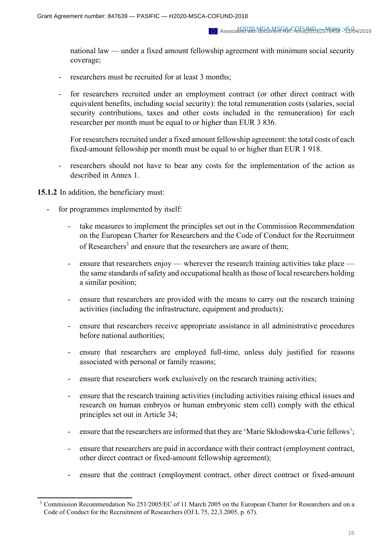national law — under a fixed amount fellowship agreement with minimum social security coverage;

- researchers must be recruited for at least 3 months;
- for researchers recruited under an employment contract (or other direct contract with equivalent benefits, including social security): the total remuneration costs (salaries, social security contributions, taxes and other costs included in the remuneration) for each researcher per month must be equal to or higher than EUR 3 836.

For researchers recruited under a fixed amount fellowship agreement: the total costs of each fixed-amount fellowship per month must be equal to or higher than EUR 1 918.

- researchers should not have to bear any costs for the implementation of the action as described in Annex 1.

#### **15.1.2** In addition, the beneficiary must:

- for programmes implemented by itself:
	- take measures to implement the principles set out in the Commission Recommendation on the European Charter for Researchers and the Code of Conduct for the Recruitment of Researchers<sup>3</sup> and ensure that the researchers are aware of them;
	- ensure that researchers enjoy wherever the research training activities take place the same standards of safety and occupational health as those of local researchers holding a similar position;
	- ensure that researchers are provided with the means to carry out the research training activities (including the infrastructure, equipment and products);
	- ensure that researchers receive appropriate assistance in all administrative procedures before national authorities;
	- ensure that researchers are employed full-time, unless duly justified for reasons associated with personal or family reasons;
	- ensure that researchers work exclusively on the research training activities;
	- ensure that the research training activities (including activities raising ethical issues and research on human embryos or human embryonic stem cell) comply with the ethical principles set out in Article 34;
	- ensure that the researchers are informed that they are 'Marie Skłodowska-Curie fellows';
	- ensure that researchers are paid in accordance with their contract (employment contract, other direct contract or fixed-amount fellowship agreement);
	- ensure that the contract (employment contract, other direct contract or fixed-amount

<sup>&</sup>lt;sup>3</sup> Commission Recommendation No 251/2005/EC of 11 March 2005 on the European Charter for Researchers and on a Code of Conduct for the Recruitment of Researchers (OJ L 75, 22.3.2005, p. 67).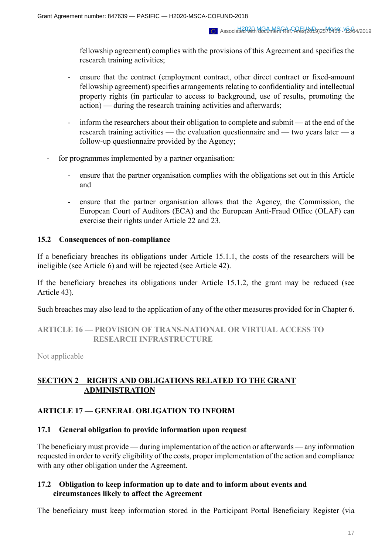fellowship agreement) complies with the provisions of this Agreement and specifies the research training activities;

- ensure that the contract (employment contract, other direct contract or fixed-amount fellowship agreement) specifies arrangements relating to confidentiality and intellectual property rights (in particular to access to background, use of results, promoting the action) — during the research training activities and afterwards;
- inform the researchers about their obligation to complete and submit at the end of the research training activities — the evaluation questionnaire and — two years later — a follow-up questionnaire provided by the Agency;
- for programmes implemented by a partner organisation:
	- ensure that the partner organisation complies with the obligations set out in this Article and
	- ensure that the partner organisation allows that the Agency, the Commission, the European Court of Auditors (ECA) and the European Anti-Fraud Office (OLAF) can exercise their rights under Article 22 and 23.

### **15.2 Consequences of non-compliance**

If a beneficiary breaches its obligations under Article 15.1.1, the costs of the researchers will be ineligible (see Article 6) and will be rejected (see Article 42).

If the beneficiary breaches its obligations under Article 15.1.2, the grant may be reduced (see Article 43).

Such breaches may also lead to the application of any of the other measures provided for in Chapter 6.

# **ARTICLE 16 — PROVISION OF TRANS-NATIONAL OR VIRTUAL ACCESS TO RESEARCH INFRASTRUCTURE**

Not applicable

# **SECTION 2 RIGHTS AND OBLIGATIONS RELATED TO THE GRANT ADMINISTRATION**

# **ARTICLE 17 — GENERAL OBLIGATION TO INFORM**

# **17.1 General obligation to provide information upon request**

The beneficiary must provide — during implementation of the action or afterwards — any information requested in order to verify eligibility of the costs, proper implementation of the action and compliance with any other obligation under the Agreement.

### **17.2 Obligation to keep information up to date and to inform about events and circumstances likely to affect the Agreement**

The beneficiary must keep information stored in the Participant Portal Beneficiary Register (via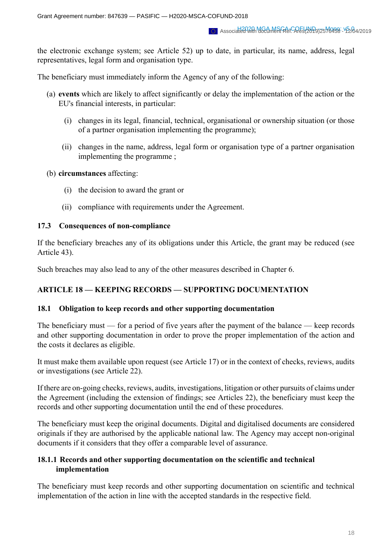the electronic exchange system; see Article 52) up to date, in particular, its name, address, legal representatives, legal form and organisation type.

The beneficiary must immediately inform the Agency of any of the following:

- (a) **events** which are likely to affect significantly or delay the implementation of the action or the EU's financial interests, in particular:
	- (i) changes in its legal, financial, technical, organisational or ownership situation (or those of a partner organisation implementing the programme);
	- (ii) changes in the name, address, legal form or organisation type of a partner organisation implementing the programme ;
- (b) **circumstances** affecting:
	- (i) the decision to award the grant or
	- (ii) compliance with requirements under the Agreement.

### **17.3 Consequences of non-compliance**

If the beneficiary breaches any of its obligations under this Article, the grant may be reduced (see Article 43).

Such breaches may also lead to any of the other measures described in Chapter 6.

# **ARTICLE 18 — KEEPING RECORDS — SUPPORTING DOCUMENTATION**

#### **18.1 Obligation to keep records and other supporting documentation**

The beneficiary must — for a period of five years after the payment of the balance — keep records and other supporting documentation in order to prove the proper implementation of the action and the costs it declares as eligible.

It must make them available upon request (see Article 17) or in the context of checks, reviews, audits or investigations (see Article 22).

If there are on-going checks, reviews, audits, investigations, litigation or other pursuits of claims under the Agreement (including the extension of findings; see Articles 22), the beneficiary must keep the records and other supporting documentation until the end of these procedures.

The beneficiary must keep the original documents. Digital and digitalised documents are considered originals if they are authorised by the applicable national law. The Agency may accept non-original documents if it considers that they offer a comparable level of assurance.

# **18.1.1** Records and other supporting documentation on the scientific and technical **implementation**

The beneficiary must keep records and other supporting documentation on scientific and technical implementation of the action in line with the accepted standards in the respective field.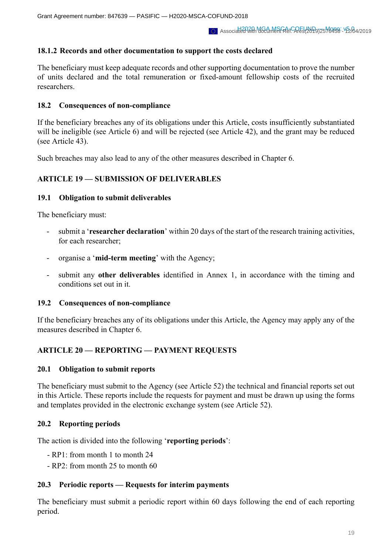# **18.1.2 Records and other documentation to support the costs declared**

The beneficiary must keep adequate records and other supporting documentation to prove the number of units declared and the total remuneration or fixed-amount fellowship costs of the recruited researchers.

### **18.2 Consequences of non-compliance**

If the beneficiary breaches any of its obligations under this Article, costs insufficiently substantiated will be ineligible (see Article 6) and will be rejected (see Article 42), and the grant may be reduced (see Article 43).

Such breaches may also lead to any of the other measures described in Chapter 6.

# **ARTICLE 19 — SUBMISSION OF DELIVERABLES**

### **19.1 Obligation to submit deliverables**

The beneficiary must:

- submit a '**researcher declaration**' within 20 days of the start of the research training activities, for each researcher;
- organise a '**mid-term meeting**' with the Agency;
- submit any **other deliverables** identified in Annex 1, in accordance with the timing and conditions set out in it.

#### **19.2 Consequences of non-compliance**

If the beneficiary breaches any of its obligations under this Article, the Agency may apply any of the measures described in Chapter 6.

# **ARTICLE 20 — REPORTING — PAYMENT REQUESTS**

#### **20.1 Obligation to submit reports**

The beneficiary must submit to the Agency (see Article 52) the technical and financial reports set out in this Article. These reports include the requests for payment and must be drawn up using the forms and templates provided in the electronic exchange system (see Article 52).

# **20.2 Reporting periods**

The action is divided into the following '**reporting periods**':

- RP1: from month 1 to month 24
- RP2: from month 25 to month 60

# **20.3 Periodic reports — Requests for interim payments**

The beneficiary must submit a periodic report within 60 days following the end of each reporting period.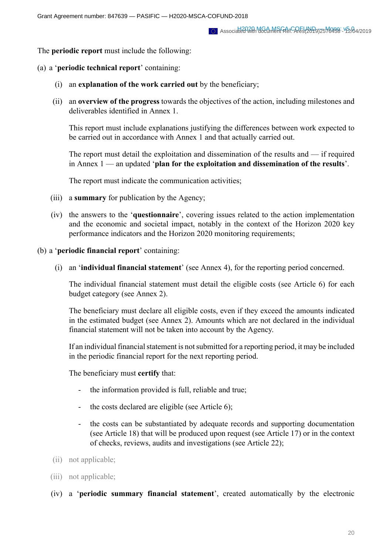The **periodic report** must include the following:

- (a) a '**periodic technical report**' containing:
	- (i) an **explanation of the work carried out** by the beneficiary;
	- (ii) an **overview of the progress** towards the objectives of the action, including milestones and deliverables identified in Annex 1.

This report must include explanations justifying the differences between work expected to be carried out in accordance with Annex 1 and that actually carried out.

The report must detail the exploitation and dissemination of the results and — if required in Annex 1 — an updated '**plan for the exploitation and dissemination of the results**'.

The report must indicate the communication activities;

- (iii) a **summary** for publication by the Agency;
- (iv) the answers to the '**questionnaire**', covering issues related to the action implementation and the economic and societal impact, notably in the context of the Horizon 2020 key performance indicators and the Horizon 2020 monitoring requirements;
- (b) a '**periodic financial report**' containing:
	- (i) an '**individual financial statement**' (see Annex 4), for the reporting period concerned.

The individual financial statement must detail the eligible costs (see Article 6) for each budget category (see Annex 2).

The beneficiary must declare all eligible costs, even if they exceed the amounts indicated in the estimated budget (see Annex 2). Amounts which are not declared in the individual financial statement will not be taken into account by the Agency.

If an individual financial statement is not submitted for a reporting period, it may be included in the periodic financial report for the next reporting period.

The beneficiary must **certify** that:

- the information provided is full, reliable and true;
- the costs declared are eligible (see Article 6);
- the costs can be substantiated by adequate records and supporting documentation (see Article 18) that will be produced upon request (see Article 17) or in the context of checks, reviews, audits and investigations (see Article 22);
- (ii) not applicable;
- (iii) not applicable;
- (iv) a '**periodic summary financial statement**', created automatically by the electronic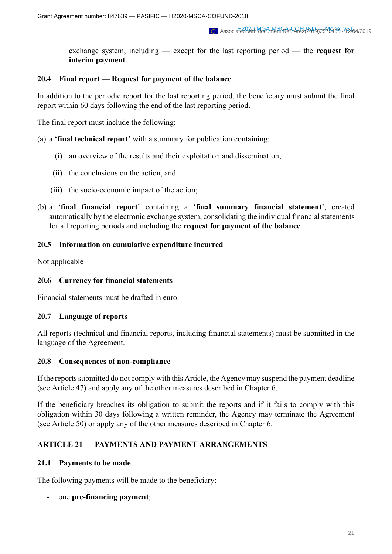exchange system, including — except for the last reporting period — the **request for interim payment**.

### **20.4 Final report — Request for payment of the balance**

In addition to the periodic report for the last reporting period, the beneficiary must submit the final report within 60 days following the end of the last reporting period.

The final report must include the following:

(a) a '**final technical report**' with a summary for publication containing:

- (i) an overview of the results and their exploitation and dissemination;
- (ii) the conclusions on the action, and
- (iii) the socio-economic impact of the action;
- (b) a '**final financial report**' containing a '**final summary financial statement**', created automatically by the electronic exchange system, consolidating the individual financial statements for all reporting periods and including the **request for payment of the balance**.

### **20.5 Information on cumulative expenditure incurred**

Not applicable

### **20.6 Currency for financial statements**

Financial statements must be drafted in euro.

# **20.7 Language of reports**

All reports (technical and financial reports, including financial statements) must be submitted in the language of the Agreement.

#### **20.8 Consequences of non-compliance**

If the reports submitted do not comply with this Article, the Agency may suspend the payment deadline (see Article 47) and apply any of the other measures described in Chapter 6.

If the beneficiary breaches its obligation to submit the reports and if it fails to comply with this obligation within 30 days following a written reminder, the Agency may terminate the Agreement (see Article 50) or apply any of the other measures described in Chapter 6.

# **ARTICLE 21 — PAYMENTS AND PAYMENT ARRANGEMENTS**

#### **21.1 Payments to be made**

The following payments will be made to the beneficiary:

- one **pre-financing payment**;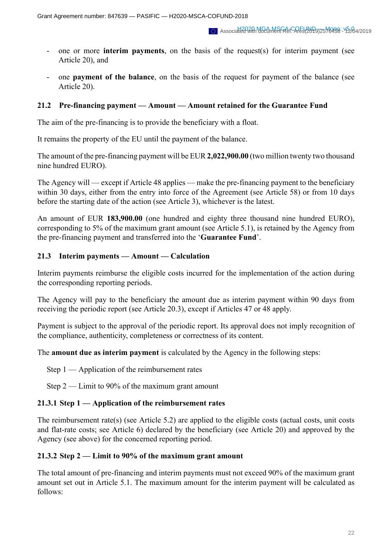- one or more **interim payments**, on the basis of the request(s) for interim payment (see Article 20), and
- one **payment of the balance**, on the basis of the request for payment of the balance (see Article 20).

#### **21.2 Pre-financing payment — Amount — Amount retained for the Guarantee Fund**

The aim of the pre-financing is to provide the beneficiary with a float.

It remains the property of the EU until the payment of the balance.

The amount of the pre-financing payment will be EUR **2,022,900.00** (two million twenty two thousand nine hundred EURO).

The Agency will — except if Article 48 applies — make the pre-financing payment to the beneficiary within 30 days, either from the entry into force of the Agreement (see Article 58) or from 10 days before the starting date of the action (see Article 3), whichever is the latest.

An amount of EUR **183,900.00** (one hundred and eighty three thousand nine hundred EURO), corresponding to 5% of the maximum grant amount (see Article 5.1), is retained by the Agency from the pre-financing payment and transferred into the '**Guarantee Fund**'.

#### **21.3 Interim payments — Amount — Calculation**

Interim payments reimburse the eligible costs incurred for the implementation of the action during the corresponding reporting periods.

The Agency will pay to the beneficiary the amount due as interim payment within 90 days from receiving the periodic report (see Article 20.3), except if Articles 47 or 48 apply.

Payment is subject to the approval of the periodic report. Its approval does not imply recognition of the compliance, authenticity, completeness or correctness of its content.

The **amount due as interim payment** is calculated by the Agency in the following steps:

Step 1 — Application of the reimbursement rates

Step 2 — Limit to 90% of the maximum grant amount

#### **21.3.1 Step 1 — Application of the reimbursement rates**

The reimbursement rate(s) (see Article 5.2) are applied to the eligible costs (actual costs, unit costs and flat-rate costs; see Article 6) declared by the beneficiary (see Article 20) and approved by the Agency (see above) for the concerned reporting period.

#### **21.3.2 Step 2 — Limit to 90% of the maximum grant amount**

The total amount of pre-financing and interim payments must not exceed 90% of the maximum grant amount set out in Article 5.1. The maximum amount for the interim payment will be calculated as follows: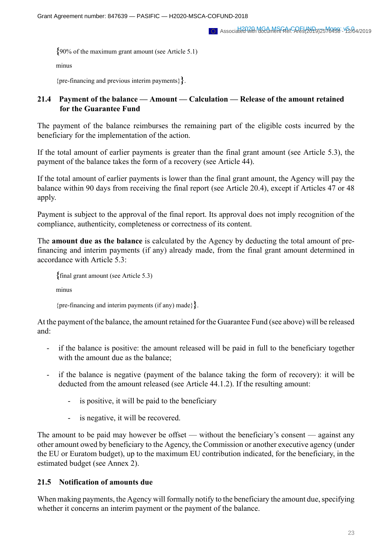**{**90% of the maximum grant amount (see Article 5.1)

minus

{pre-financing and previous interim payments}**}**.

### **21.4 Payment of the balance — Amount — Calculation — Release of the amount retained for the Guarantee Fund**

The payment of the balance reimburses the remaining part of the eligible costs incurred by the beneficiary for the implementation of the action.

If the total amount of earlier payments is greater than the final grant amount (see Article 5.3), the payment of the balance takes the form of a recovery (see Article 44).

If the total amount of earlier payments is lower than the final grant amount, the Agency will pay the balance within 90 days from receiving the final report (see Article 20.4), except if Articles 47 or 48 apply.

Payment is subject to the approval of the final report. Its approval does not imply recognition of the compliance, authenticity, completeness or correctness of its content.

The **amount due as the balance** is calculated by the Agency by deducting the total amount of prefinancing and interim payments (if any) already made, from the final grant amount determined in accordance with Article 5.3:

**{**final grant amount (see Article 5.3)

minus

{pre-financing and interim payments (if any) made}**}**.

At the payment of the balance, the amount retained for the Guarantee Fund (see above) will be released and:

- if the balance is positive: the amount released will be paid in full to the beneficiary together with the amount due as the balance:
- if the balance is negative (payment of the balance taking the form of recovery): it will be deducted from the amount released (see Article 44.1.2). If the resulting amount:
	- is positive, it will be paid to the beneficiary
	- is negative, it will be recovered.

The amount to be paid may however be offset — without the beneficiary's consent — against any other amount owed by beneficiary to the Agency, the Commission or another executive agency (under the EU or Euratom budget), up to the maximum EU contribution indicated, for the beneficiary, in the estimated budget (see Annex 2).

#### **21.5 Notification of amounts due**

When making payments, the Agency will formally notify to the beneficiary the amount due, specifying whether it concerns an interim payment or the payment of the balance.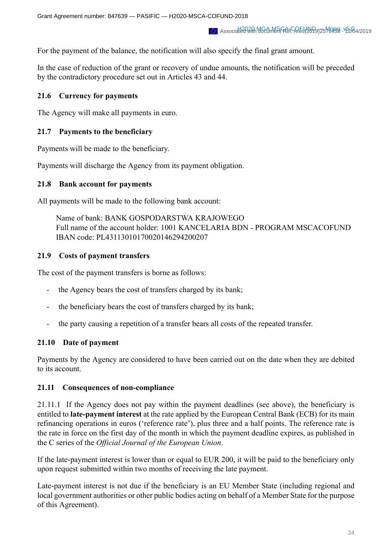For the payment of the balance, the notification will also specify the final grant amount.

In the case of reduction of the grant or recovery of undue amounts, the notification will be preceded by the contradictory procedure set out in Articles 43 and 44.

# **21.6 Currency for payments**

The Agency will make all payments in euro.

# **21.7 Payments to the beneficiary**

Payments will be made to the beneficiary.

Payments will discharge the Agency from its payment obligation.

### **21.8 Bank account for payments**

All payments will be made to the following bank account:

Name of bank: BANK GOSPODARSTWA KRAJOWEGO Full name of the account holder: 1001 KANCELARIA BDN - PROGRAM MSCACOFUND IBAN code: PL43113010170020146294200207

# **21.9 Costs of payment transfers**

The cost of the payment transfers is borne as follows:

- the Agency bears the cost of transfers charged by its bank;
- the beneficiary bears the cost of transfers charged by its bank;
- the party causing a repetition of a transfer bears all costs of the repeated transfer.

# **21.10 Date of payment**

Payments by the Agency are considered to have been carried out on the date when they are debited to its account.

# **21.11 Consequences of non-compliance**

21.11.1 If the Agency does not pay within the payment deadlines (see above), the beneficiary is entitled to **late-payment interest** at the rate applied by the European Central Bank (ECB) for its main refinancing operations in euros ('reference rate'), plus three and a half points. The reference rate is the rate in force on the first day of the month in which the payment deadline expires, as published in the C series of the *Official Journal of the European Union*.

If the late-payment interest is lower than or equal to EUR 200, it will be paid to the beneficiary only upon request submitted within two months of receiving the late payment.

Late-payment interest is not due if the beneficiary is an EU Member State (including regional and local government authorities or other public bodies acting on behalf of a Member State for the purpose of this Agreement).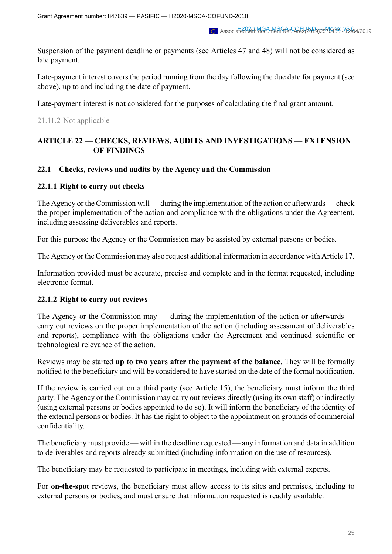Suspension of the payment deadline or payments (see Articles 47 and 48) will not be considered as late payment.

Late-payment interest covers the period running from the day following the due date for payment (see above), up to and including the date of payment.

Late-payment interest is not considered for the purposes of calculating the final grant amount.

### 21.11.2 Not applicable

# **ARTICLE 22 — CHECKS, REVIEWS, AUDITS AND INVESTIGATIONS — EXTENSION OF FINDINGS**

### **22.1 Checks, reviews and audits by the Agency and the Commission**

### **22.1.1 Right to carry out checks**

The Agency or the Commission will — during the implementation of the action or afterwards — check the proper implementation of the action and compliance with the obligations under the Agreement, including assessing deliverables and reports.

For this purpose the Agency or the Commission may be assisted by external persons or bodies.

The Agency or the Commission may also request additional information in accordance with Article 17.

Information provided must be accurate, precise and complete and in the format requested, including electronic format.

#### **22.1.2 Right to carry out reviews**

The Agency or the Commission may — during the implementation of the action or afterwards carry out reviews on the proper implementation of the action (including assessment of deliverables and reports), compliance with the obligations under the Agreement and continued scientific or technological relevance of the action.

Reviews may be started **up to two years after the payment of the balance**. They will be formally notified to the beneficiary and will be considered to have started on the date of the formal notification.

If the review is carried out on a third party (see Article 15), the beneficiary must inform the third party. The Agency or the Commission may carry out reviews directly (using its own staff) or indirectly (using external persons or bodies appointed to do so). It will inform the beneficiary of the identity of the external persons or bodies. It has the right to object to the appointment on grounds of commercial confidentiality.

The beneficiary must provide — within the deadline requested — any information and data in addition to deliverables and reports already submitted (including information on the use of resources).

The beneficiary may be requested to participate in meetings, including with external experts.

For **on-the-spot** reviews, the beneficiary must allow access to its sites and premises, including to external persons or bodies, and must ensure that information requested is readily available.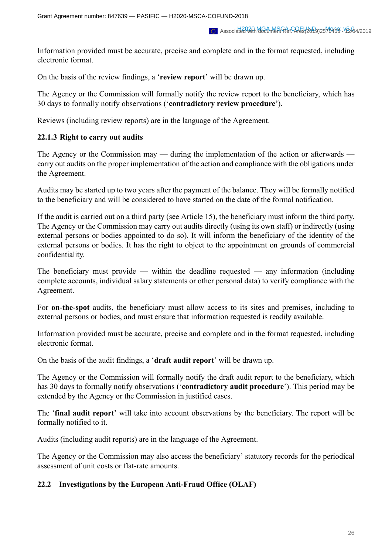Information provided must be accurate, precise and complete and in the format requested, including electronic format.

On the basis of the review findings, a '**review report**' will be drawn up.

The Agency or the Commission will formally notify the review report to the beneficiary, which has 30 days to formally notify observations ('**contradictory review procedure**').

Reviews (including review reports) are in the language of the Agreement.

### **22.1.3 Right to carry out audits**

The Agency or the Commission may — during the implementation of the action or afterwards carry out audits on the proper implementation of the action and compliance with the obligations under the Agreement.

Audits may be started up to two years after the payment of the balance. They will be formally notified to the beneficiary and will be considered to have started on the date of the formal notification.

If the audit is carried out on a third party (see Article 15), the beneficiary must inform the third party. The Agency or the Commission may carry out audits directly (using its own staff) or indirectly (using external persons or bodies appointed to do so). It will inform the beneficiary of the identity of the external persons or bodies. It has the right to object to the appointment on grounds of commercial confidentiality.

The beneficiary must provide — within the deadline requested — any information (including complete accounts, individual salary statements or other personal data) to verify compliance with the Agreement.

For **on-the-spot** audits, the beneficiary must allow access to its sites and premises, including to external persons or bodies, and must ensure that information requested is readily available.

Information provided must be accurate, precise and complete and in the format requested, including electronic format.

On the basis of the audit findings, a '**draft audit report**' will be drawn up.

The Agency or the Commission will formally notify the draft audit report to the beneficiary, which has 30 days to formally notify observations ('**contradictory audit procedure**'). This period may be extended by the Agency or the Commission in justified cases.

The '**final audit report**' will take into account observations by the beneficiary. The report will be formally notified to it.

Audits (including audit reports) are in the language of the Agreement.

The Agency or the Commission may also access the beneficiary' statutory records for the periodical assessment of unit costs or flat-rate amounts.

#### **22.2 Investigations by the European Anti-Fraud Office (OLAF)**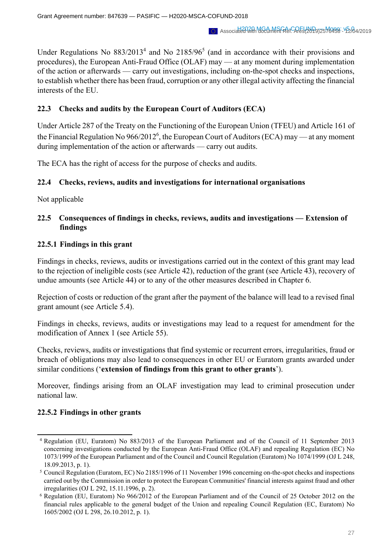Under Regulations No  $883/2013<sup>4</sup>$  and No  $2185/96<sup>5</sup>$  (and in accordance with their provisions and procedures), the European Anti-Fraud Office (OLAF) may — at any moment during implementation of the action or afterwards — carry out investigations, including on-the-spot checks and inspections, to establish whether there has been fraud, corruption or any other illegal activity affecting the financial interests of the EU.

# **22.3 Checks and audits by the European Court of Auditors (ECA)**

Under Article 287 of the Treaty on the Functioning of the European Union (TFEU) and Article 161 of the Financial Regulation No 966/2012<sup>6</sup>, the European Court of Auditors (ECA) may — at any moment during implementation of the action or afterwards — carry out audits.

The ECA has the right of access for the purpose of checks and audits.

# **22.4 Checks, reviews, audits and investigations for international organisations**

Not applicable

# **22.5 Consequences of findings in checks, reviews, audits and investigations — Extension of findings**

# **22.5.1 Findings in this grant**

Findings in checks, reviews, audits or investigations carried out in the context of this grant may lead to the rejection of ineligible costs (see Article 42), reduction of the grant (see Article 43), recovery of undue amounts (see Article 44) or to any of the other measures described in Chapter 6.

Rejection of costs or reduction of the grant after the payment of the balance will lead to a revised final grant amount (see Article 5.4).

Findings in checks, reviews, audits or investigations may lead to a request for amendment for the modification of Annex 1 (see Article 55).

Checks, reviews, audits or investigations that find systemic or recurrent errors, irregularities, fraud or breach of obligations may also lead to consequences in other EU or Euratom grants awarded under similar conditions ('**extension of findings from this grant to other grants**').

Moreover, findings arising from an OLAF investigation may lead to criminal prosecution under national law.

# **22.5.2 Findings in other grants**

<sup>4</sup> Regulation (EU, Euratom) No 883/2013 of the European Parliament and of the Council of 11 September 2013 concerning investigations conducted by the European Anti-Fraud Office (OLAF) and repealing Regulation (EC) No 1073/1999 of the European Parliament and of the Council and Council Regulation (Euratom) No 1074/1999 (OJ L 248, 18.09.2013, p. 1).

<sup>5</sup> Council Regulation (Euratom, EC) No 2185/1996 of 11 November 1996 concerning on-the-spot checks and inspections carried out by the Commission in order to protect the European Communities' financial interests against fraud and other irregularities (OJ L 292, 15.11.1996, p. 2).

<sup>6</sup> Regulation (EU, Euratom) No 966/2012 of the European Parliament and of the Council of 25 October 2012 on the financial rules applicable to the general budget of the Union and repealing Council Regulation (EC, Euratom) No 1605/2002 (OJ L 298, 26.10.2012, p. 1).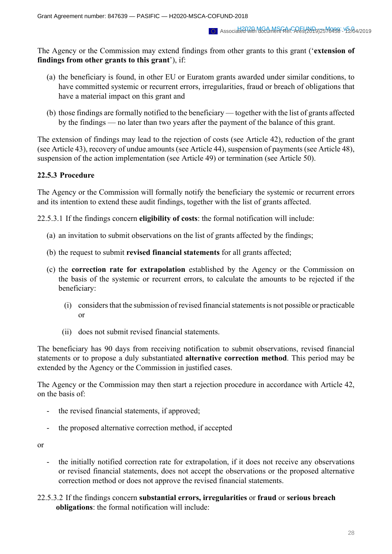The Agency or the Commission may extend findings from other grants to this grant ('**extension of findings from other grants to this grant**'), if:

- (a) the beneficiary is found, in other EU or Euratom grants awarded under similar conditions, to have committed systemic or recurrent errors, irregularities, fraud or breach of obligations that have a material impact on this grant and
- (b) those findings are formally notified to the beneficiary together with the list of grants affected by the findings — no later than two years after the payment of the balance of this grant.

The extension of findings may lead to the rejection of costs (see Article 42), reduction of the grant (see Article 43), recovery of undue amounts (see Article 44), suspension of payments (see Article 48), suspension of the action implementation (see Article 49) or termination (see Article 50).

# **22.5.3 Procedure**

The Agency or the Commission will formally notify the beneficiary the systemic or recurrent errors and its intention to extend these audit findings, together with the list of grants affected.

22.5.3.1 If the findings concern **eligibility of costs**: the formal notification will include:

- (a) an invitation to submit observations on the list of grants affected by the findings;
- (b) the request to submit **revised financial statements** for all grants affected;
- (c) the **correction rate for extrapolation** established by the Agency or the Commission on the basis of the systemic or recurrent errors, to calculate the amounts to be rejected if the beneficiary:
	- (i) considers that the submission of revised financial statements is not possible or practicable or
	- (ii) does not submit revised financial statements.

The beneficiary has 90 days from receiving notification to submit observations, revised financial statements or to propose a duly substantiated **alternative correction method**. This period may be extended by the Agency or the Commission in justified cases.

The Agency or the Commission may then start a rejection procedure in accordance with Article 42, on the basis of:

- the revised financial statements, if approved;
- the proposed alternative correction method, if accepted

or

- the initially notified correction rate for extrapolation, if it does not receive any observations or revised financial statements, does not accept the observations or the proposed alternative correction method or does not approve the revised financial statements.
- 22.5.3.2 If the findings concern **substantial errors, irregularities** or **fraud** or **serious breach obligations**: the formal notification will include: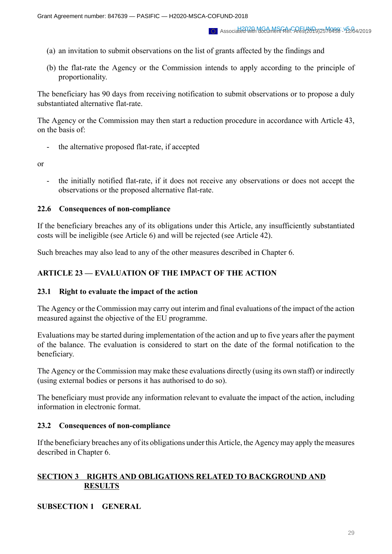- (a) an invitation to submit observations on the list of grants affected by the findings and
- (b) the flat-rate the Agency or the Commission intends to apply according to the principle of proportionality.

The beneficiary has 90 days from receiving notification to submit observations or to propose a duly substantiated alternative flat-rate.

The Agency or the Commission may then start a reduction procedure in accordance with Article 43, on the basis of:

the alternative proposed flat-rate, if accepted

or

- the initially notified flat-rate, if it does not receive any observations or does not accept the observations or the proposed alternative flat-rate.

#### **22.6 Consequences of non-compliance**

If the beneficiary breaches any of its obligations under this Article, any insufficiently substantiated costs will be ineligible (see Article 6) and will be rejected (see Article 42).

Such breaches may also lead to any of the other measures described in Chapter 6.

### **ARTICLE 23 — EVALUATION OF THE IMPACT OF THE ACTION**

#### **23.1 Right to evaluate the impact of the action**

The Agency or the Commission may carry out interim and final evaluations of the impact of the action measured against the objective of the EU programme.

Evaluations may be started during implementation of the action and up to five years after the payment of the balance. The evaluation is considered to start on the date of the formal notification to the beneficiary.

The Agency or the Commission may make these evaluations directly (using its own staff) or indirectly (using external bodies or persons it has authorised to do so).

The beneficiary must provide any information relevant to evaluate the impact of the action, including information in electronic format.

# **23.2 Consequences of non-compliance**

If the beneficiary breaches any of its obligations under this Article, the Agency may apply the measures described in Chapter 6.

# **SECTION 3 RIGHTS AND OBLIGATIONS RELATED TO BACKGROUND AND RESULTS**

# **SUBSECTION 1 GENERAL**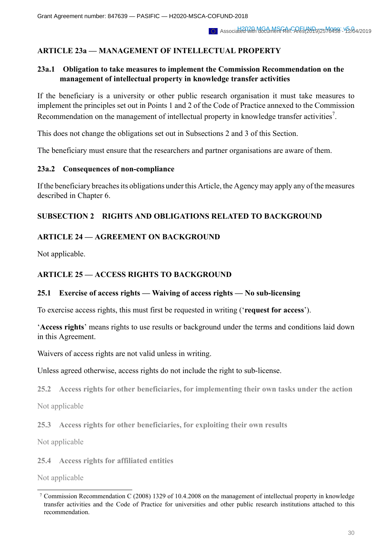# **ARTICLE 23a — MANAGEMENT OF INTELLECTUAL PROPERTY**

# **23a.1 Obligation to take measures to implement the Commission Recommendation on the management of intellectual property in knowledge transfer activities**

If the beneficiary is a university or other public research organisation it must take measures to implement the principles set out in Points 1 and 2 of the Code of Practice annexed to the Commission Recommendation on the management of intellectual property in knowledge transfer activities<sup>7</sup>.

This does not change the obligations set out in Subsections 2 and 3 of this Section.

The beneficiary must ensure that the researchers and partner organisations are aware of them.

### **23a.2 Consequences of non-compliance**

If the beneficiary breaches its obligations under this Article, the Agency may apply any of the measures described in Chapter 6.

# **SUBSECTION 2 RIGHTS AND OBLIGATIONS RELATED TO BACKGROUND**

# **ARTICLE 24 — AGREEMENT ON BACKGROUND**

Not applicable.

# **ARTICLE 25 — ACCESS RIGHTS TO BACKGROUND**

# **25.1 Exercise of access rights — Waiving of access rights — No sub-licensing**

To exercise access rights, this must first be requested in writing ('**request for access**').

'**Access rights**' means rights to use results or background under the terms and conditions laid down in this Agreement.

Waivers of access rights are not valid unless in writing.

Unless agreed otherwise, access rights do not include the right to sub-license.

**25.2 Access rights for other beneficiaries, for implementing their own tasks under the action**

Not applicable

**25.3 Access rights for other beneficiaries, for exploiting their own results**

Not applicable

**25.4 Access rights for affiliated entities**

Not applicable

<sup>7</sup> Commission Recommendation C (2008) 1329 of 10.4.2008 on the management of intellectual property in knowledge transfer activities and the Code of Practice for universities and other public research institutions attached to this recommendation.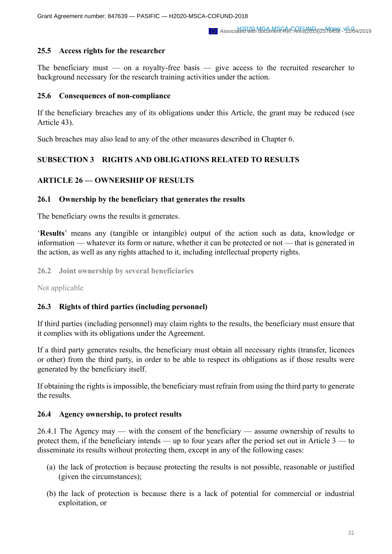### **25.5 Access rights for the researcher**

The beneficiary must — on a royalty-free basis — give access to the recruited researcher to background necessary for the research training activities under the action.

### **25.6 Consequences of non-compliance**

If the beneficiary breaches any of its obligations under this Article, the grant may be reduced (see Article 43).

Such breaches may also lead to any of the other measures described in Chapter 6.

# **SUBSECTION 3 RIGHTS AND OBLIGATIONS RELATED TO RESULTS**

# **ARTICLE 26 — OWNERSHIP OF RESULTS**

### **26.1 Ownership by the beneficiary that generates the results**

The beneficiary owns the results it generates.

'**Results**' means any (tangible or intangible) output of the action such as data, knowledge or information — whatever its form or nature, whether it can be protected or not — that is generated in the action, as well as any rights attached to it, including intellectual property rights.

**26.2 Joint ownership by several beneficiaries**

Not applicable

# **26.3 Rights of third parties (including personnel)**

If third parties (including personnel) may claim rights to the results, the beneficiary must ensure that it complies with its obligations under the Agreement.

If a third party generates results, the beneficiary must obtain all necessary rights (transfer, licences or other) from the third party, in order to be able to respect its obligations as if those results were generated by the beneficiary itself.

If obtaining the rights is impossible, the beneficiary must refrain from using the third party to generate the results.

#### **26.4 Agency ownership, to protect results**

26.4.1 The Agency may — with the consent of the beneficiary — assume ownership of results to protect them, if the beneficiary intends — up to four years after the period set out in Article 3 — to disseminate its results without protecting them, except in any of the following cases:

- (a) the lack of protection is because protecting the results is not possible, reasonable or justified (given the circumstances);
- (b) the lack of protection is because there is a lack of potential for commercial or industrial exploitation, or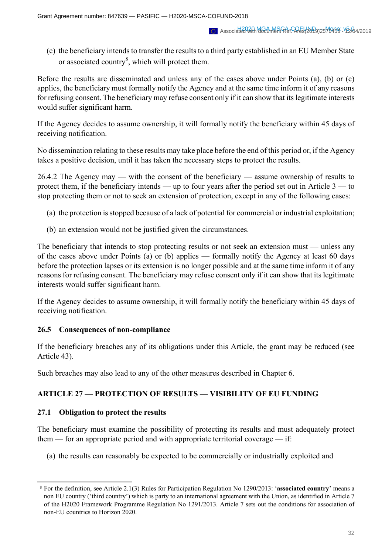(c) the beneficiary intends to transfer the results to a third party established in an EU Member State or associated country<sup>8</sup>, which will protect them.

Before the results are disseminated and unless any of the cases above under Points (a), (b) or (c) applies, the beneficiary must formally notify the Agency and at the same time inform it of any reasons for refusing consent. The beneficiary may refuse consent only if it can show that its legitimate interests would suffer significant harm.

If the Agency decides to assume ownership, it will formally notify the beneficiary within 45 days of receiving notification.

No dissemination relating to these results may take place before the end of this period or, if the Agency takes a positive decision, until it has taken the necessary steps to protect the results.

26.4.2 The Agency may — with the consent of the beneficiary — assume ownership of results to protect them, if the beneficiary intends — up to four years after the period set out in Article 3 — to stop protecting them or not to seek an extension of protection, except in any of the following cases:

- (a) the protection is stopped because of a lack of potential for commercial or industrial exploitation;
- (b) an extension would not be justified given the circumstances.

The beneficiary that intends to stop protecting results or not seek an extension must — unless any of the cases above under Points (a) or (b) applies — formally notify the Agency at least 60 days before the protection lapses or its extension is no longer possible and at the same time inform it of any reasons for refusing consent. The beneficiary may refuse consent only if it can show that its legitimate interests would suffer significant harm.

If the Agency decides to assume ownership, it will formally notify the beneficiary within 45 days of receiving notification.

# **26.5 Consequences of non-compliance**

If the beneficiary breaches any of its obligations under this Article, the grant may be reduced (see Article 43).

Such breaches may also lead to any of the other measures described in Chapter 6.

# **ARTICLE 27 — PROTECTION OF RESULTS — VISIBILITY OF EU FUNDING**

#### **27.1 Obligation to protect the results**

The beneficiary must examine the possibility of protecting its results and must adequately protect them — for an appropriate period and with appropriate territorial coverage — if:

(a) the results can reasonably be expected to be commercially or industrially exploited and

<sup>8</sup> For the definition, see Article 2.1(3) Rules for Participation Regulation No 1290/2013: '**associated country**' means a non EU country ('third country') which is party to an international agreement with the Union, as identified in Article 7 of the H2020 Framework Programme Regulation No 1291/2013. Article 7 sets out the conditions for association of non-EU countries to Horizon 2020.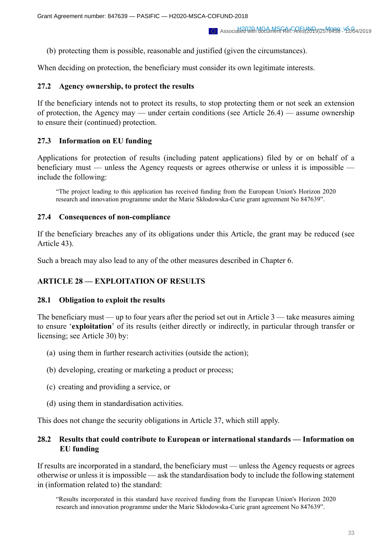(b) protecting them is possible, reasonable and justified (given the circumstances).

When deciding on protection, the beneficiary must consider its own legitimate interests.

#### **27.2 Agency ownership, to protect the results**

If the beneficiary intends not to protect its results, to stop protecting them or not seek an extension of protection, the Agency may — under certain conditions (see Article 26.4) — assume ownership to ensure their (continued) protection.

#### **27.3 Information on EU funding**

Applications for protection of results (including patent applications) filed by or on behalf of a beneficiary must — unless the Agency requests or agrees otherwise or unless it is impossible include the following:

"The project leading to this application has received funding from the European Union's Horizon 2020 research and innovation programme under the Marie Skłodowska-Curie grant agreement No 847639".

#### **27.4 Consequences of non-compliance**

If the beneficiary breaches any of its obligations under this Article, the grant may be reduced (see Article 43).

Such a breach may also lead to any of the other measures described in Chapter 6.

## **ARTICLE 28 — EXPLOITATION OF RESULTS**

#### **28.1 Obligation to exploit the results**

The beneficiary must — up to four years after the period set out in Article 3 — take measures aiming to ensure '**exploitation**' of its results (either directly or indirectly, in particular through transfer or licensing; see Article 30) by:

- (a) using them in further research activities (outside the action);
- (b) developing, creating or marketing a product or process;
- (c) creating and providing a service, or
- (d) using them in standardisation activities.

This does not change the security obligations in Article 37, which still apply.

### **28.2 Results that could contribute to European or international standards — Information on EU funding**

If results are incorporated in a standard, the beneficiary must — unless the Agency requests or agrees otherwise or unless it is impossible — ask the standardisation body to include the following statement in (information related to) the standard:

"Results incorporated in this standard have received funding from the European Union's Horizon 2020 research and innovation programme under the Marie Skłodowska-Curie grant agreement No 847639".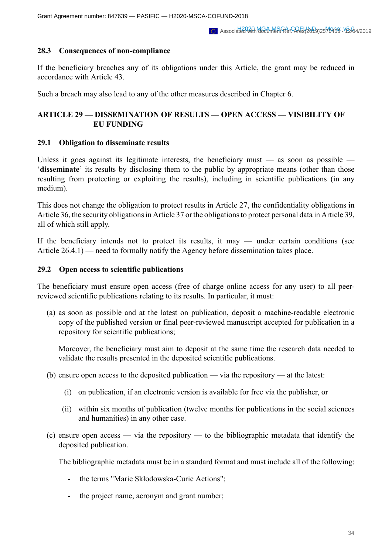### **28.3 Consequences of non-compliance**

If the beneficiary breaches any of its obligations under this Article, the grant may be reduced in accordance with Article 43.

Such a breach may also lead to any of the other measures described in Chapter 6.

# **ARTICLE 29 — DISSEMINATION OF RESULTS — OPEN ACCESS — VISIBILITY OF EU FUNDING**

### **29.1 Obligation to disseminate results**

Unless it goes against its legitimate interests, the beneficiary must  $-$  as soon as possible  $-$ '**disseminate**' its results by disclosing them to the public by appropriate means (other than those resulting from protecting or exploiting the results), including in scientific publications (in any medium).

This does not change the obligation to protect results in Article 27, the confidentiality obligations in Article 36, the security obligations in Article 37 or the obligations to protect personal data in Article 39, all of which still apply.

If the beneficiary intends not to protect its results, it may — under certain conditions (see Article 26.4.1) — need to formally notify the Agency before dissemination takes place.

### **29.2 Open access to scientific publications**

The beneficiary must ensure open access (free of charge online access for any user) to all peerreviewed scientific publications relating to its results. In particular, it must:

(a) as soon as possible and at the latest on publication, deposit a machine-readable electronic copy of the published version or final peer-reviewed manuscript accepted for publication in a repository for scientific publications;

Moreover, the beneficiary must aim to deposit at the same time the research data needed to validate the results presented in the deposited scientific publications.

- (b) ensure open access to the deposited publication via the repository at the latest:
	- (i) on publication, if an electronic version is available for free via the publisher, or
	- (ii) within six months of publication (twelve months for publications in the social sciences and humanities) in any other case.
- (c) ensure open access via the repository to the bibliographic metadata that identify the deposited publication.

The bibliographic metadata must be in a standard format and must include all of the following:

- the terms "Marie Skłodowska-Curie Actions";
- the project name, acronym and grant number;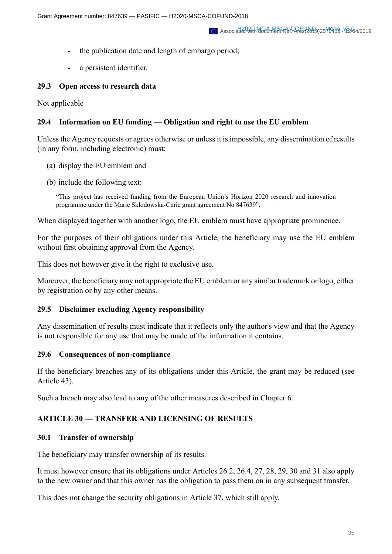- the publication date and length of embargo period;
- a persistent identifier.

### **29.3 Open access to research data**

Not applicable

### **29.4 Information on EU funding — Obligation and right to use the EU emblem**

Unless the Agency requests or agrees otherwise or unless it is impossible, any dissemination of results (in any form, including electronic) must:

- (a) display the EU emblem and
- (b) include the following text:

"This project has received funding from the European Union's Horizon 2020 research and innovation programme under the Marie Skłodowska-Curie grant agreement No 847639".

When displayed together with another logo, the EU emblem must have appropriate prominence.

For the purposes of their obligations under this Article, the beneficiary may use the EU emblem without first obtaining approval from the Agency.

This does not however give it the right to exclusive use.

Moreover, the beneficiary may not appropriate the EU emblem or any similar trademark or logo, either by registration or by any other means.

# **29.5 Disclaimer excluding Agency responsibility**

Any dissemination of results must indicate that it reflects only the author's view and that the Agency is not responsible for any use that may be made of the information it contains.

#### **29.6 Consequences of non-compliance**

If the beneficiary breaches any of its obligations under this Article, the grant may be reduced (see Article 43).

Such a breach may also lead to any of the other measures described in Chapter 6.

# **ARTICLE 30 — TRANSFER AND LICENSING OF RESULTS**

# **30.1 Transfer of ownership**

The beneficiary may transfer ownership of its results.

It must however ensure that its obligations under Articles 26.2, 26.4, 27, 28, 29, 30 and 31 also apply to the new owner and that this owner has the obligation to pass them on in any subsequent transfer.

This does not change the security obligations in Article 37, which still apply.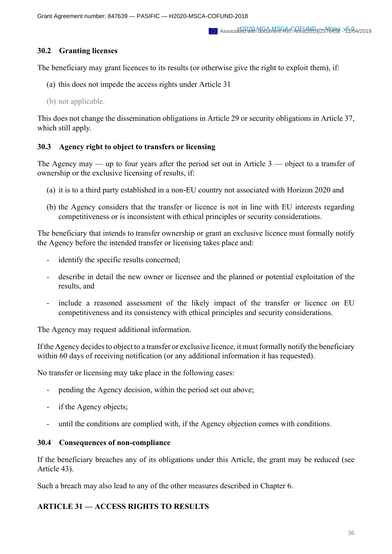# **30.2 Granting licenses**

The beneficiary may grant licences to its results (or otherwise give the right to exploit them), if:

- (a) this does not impede the access rights under Article 31
- (b) not applicable.

This does not change the dissemination obligations in Article 29 or security obligations in Article 37, which still apply.

# **30.3 Agency right to object to transfers or licensing**

The Agency may — up to four years after the period set out in Article  $3$  — object to a transfer of ownership or the exclusive licensing of results, if:

- (a) it is to a third party established in a non-EU country not associated with Horizon 2020 and
- (b) the Agency considers that the transfer or licence is not in line with EU interests regarding competitiveness or is inconsistent with ethical principles or security considerations.

The beneficiary that intends to transfer ownership or grant an exclusive licence must formally notify the Agency before the intended transfer or licensing takes place and:

- identify the specific results concerned;
- describe in detail the new owner or licensee and the planned or potential exploitation of the results, and
- include a reasoned assessment of the likely impact of the transfer or licence on EU competitiveness and its consistency with ethical principles and security considerations.

The Agency may request additional information.

If the Agency decides to object to a transfer or exclusive licence, it must formally notify the beneficiary within 60 days of receiving notification (or any additional information it has requested).

No transfer or licensing may take place in the following cases:

- pending the Agency decision, within the period set out above;
- if the Agency objects;
- until the conditions are complied with, if the Agency objection comes with conditions.

# **30.4 Consequences of non-compliance**

If the beneficiary breaches any of its obligations under this Article, the grant may be reduced (see Article 43).

Such a breach may also lead to any of the other measures described in Chapter 6.

# **ARTICLE 31 — ACCESS RIGHTS TO RESULTS**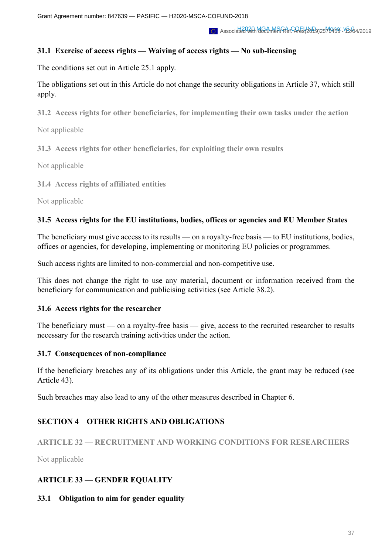# **31.1 Exercise of access rights — Waiving of access rights — No sub-licensing**

The conditions set out in Article 25.1 apply.

The obligations set out in this Article do not change the security obligations in Article 37, which still apply.

**31.2 Access rights for other beneficiaries, for implementing their own tasks under the action**

Not applicable

**31.3 Access rights for other beneficiaries, for exploiting their own results**

Not applicable

**31.4 Access rights of affiliated entities**

Not applicable

# **31.5 Access rights for the EU institutions, bodies, offices or agencies and EU Member States**

The beneficiary must give access to its results — on a royalty-free basis — to EU institutions, bodies, offices or agencies, for developing, implementing or monitoring EU policies or programmes.

Such access rights are limited to non-commercial and non-competitive use.

This does not change the right to use any material, document or information received from the beneficiary for communication and publicising activities (see Article 38.2).

# **31.6 Access rights for the researcher**

The beneficiary must — on a royalty-free basis — give, access to the recruited researcher to results necessary for the research training activities under the action.

# **31.7 Consequences of non-compliance**

If the beneficiary breaches any of its obligations under this Article, the grant may be reduced (see Article 43).

Such breaches may also lead to any of the other measures described in Chapter 6.

# **SECTION 4 OTHER RIGHTS AND OBLIGATIONS**

# **ARTICLE 32 — RECRUITMENT AND WORKING CONDITIONS FOR RESEARCHERS**

Not applicable

# **ARTICLE 33 — GENDER EQUALITY**

# **33.1 Obligation to aim for gender equality**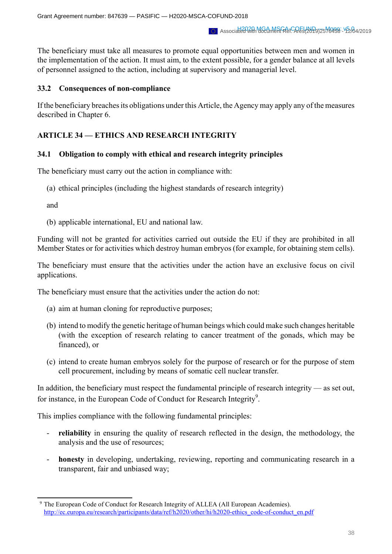The beneficiary must take all measures to promote equal opportunities between men and women in the implementation of the action. It must aim, to the extent possible, for a gender balance at all levels of personnel assigned to the action, including at supervisory and managerial level.

### **33.2 Consequences of non-compliance**

If the beneficiary breaches its obligations under this Article, the Agency may apply any of the measures described in Chapter 6.

# **ARTICLE 34 — ETHICS AND RESEARCH INTEGRITY**

### **34.1 Obligation to comply with ethical and research integrity principles**

The beneficiary must carry out the action in compliance with:

(a) ethical principles (including the highest standards of research integrity)

and

(b) applicable international, EU and national law.

Funding will not be granted for activities carried out outside the EU if they are prohibited in all Member States or for activities which destroy human embryos (for example, for obtaining stem cells).

The beneficiary must ensure that the activities under the action have an exclusive focus on civil applications.

The beneficiary must ensure that the activities under the action do not:

- (a) aim at human cloning for reproductive purposes;
- (b) intend to modify the genetic heritage of human beings which could make such changes heritable (with the exception of research relating to cancer treatment of the gonads, which may be financed), or
- (c) intend to create human embryos solely for the purpose of research or for the purpose of stem cell procurement, including by means of somatic cell nuclear transfer.

In addition, the beneficiary must respect the fundamental principle of research integrity — as set out, for instance, in the European Code of Conduct for Research Integrity<sup>9</sup>.

This implies compliance with the following fundamental principles:

- reliability in ensuring the quality of research reflected in the design, the methodology, the analysis and the use of resources;
- **honesty** in developing, undertaking, reviewing, reporting and communicating research in a transparent, fair and unbiased way;

<sup>9</sup> The European Code of Conduct for Research Integrity of ALLEA (All European Academies). http://ec.europa.eu/research/participants/data/ref/h2020/other/hi/h2020-ethics\_code-of-conduct\_en.pdf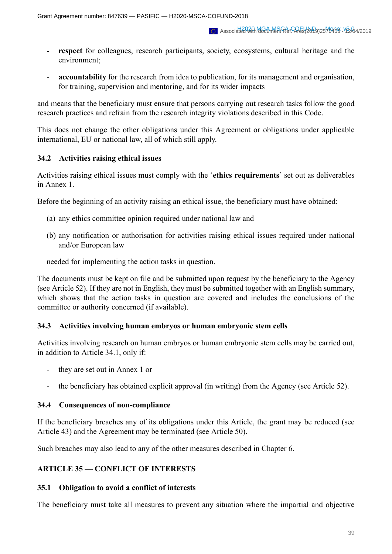- respect for colleagues, research participants, society, ecosystems, cultural heritage and the environment;
- **accountability** for the research from idea to publication, for its management and organisation, for training, supervision and mentoring, and for its wider impacts

and means that the beneficiary must ensure that persons carrying out research tasks follow the good research practices and refrain from the research integrity violations described in this Code.

This does not change the other obligations under this Agreement or obligations under applicable international, EU or national law, all of which still apply.

### **34.2 Activities raising ethical issues**

Activities raising ethical issues must comply with the '**ethics requirements**' set out as deliverables in Annex 1.

Before the beginning of an activity raising an ethical issue, the beneficiary must have obtained:

- (a) any ethics committee opinion required under national law and
- (b) any notification or authorisation for activities raising ethical issues required under national and/or European law

needed for implementing the action tasks in question.

The documents must be kept on file and be submitted upon request by the beneficiary to the Agency (see Article 52). If they are not in English, they must be submitted together with an English summary, which shows that the action tasks in question are covered and includes the conclusions of the committee or authority concerned (if available).

#### **34.3 Activities involving human embryos or human embryonic stem cells**

Activities involving research on human embryos or human embryonic stem cells may be carried out, in addition to Article 34.1, only if:

- they are set out in Annex 1 or
- the beneficiary has obtained explicit approval (in writing) from the Agency (see Article 52).

#### **34.4 Consequences of non-compliance**

If the beneficiary breaches any of its obligations under this Article, the grant may be reduced (see Article 43) and the Agreement may be terminated (see Article 50).

Such breaches may also lead to any of the other measures described in Chapter 6.

# **ARTICLE 35 — CONFLICT OF INTERESTS**

#### **35.1 Obligation to avoid a conflict of interests**

The beneficiary must take all measures to prevent any situation where the impartial and objective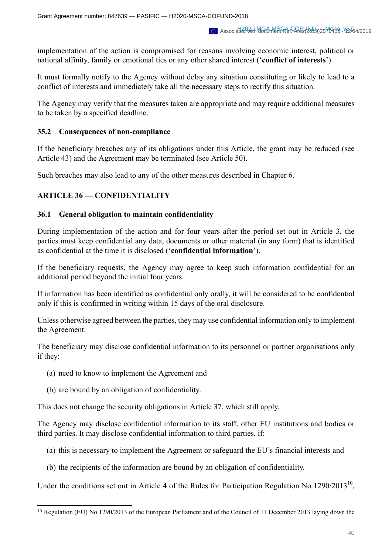implementation of the action is compromised for reasons involving economic interest, political or national affinity, family or emotional ties or any other shared interest ('**conflict of interests**').

It must formally notify to the Agency without delay any situation constituting or likely to lead to a conflict of interests and immediately take all the necessary steps to rectify this situation.

The Agency may verify that the measures taken are appropriate and may require additional measures to be taken by a specified deadline.

### **35.2 Consequences of non-compliance**

If the beneficiary breaches any of its obligations under this Article, the grant may be reduced (see Article 43) and the Agreement may be terminated (see Article 50).

Such breaches may also lead to any of the other measures described in Chapter 6.

# **ARTICLE 36 — CONFIDENTIALITY**

### **36.1 General obligation to maintain confidentiality**

During implementation of the action and for four years after the period set out in Article 3, the parties must keep confidential any data, documents or other material (in any form) that is identified as confidential at the time it is disclosed ('**confidential information**').

If the beneficiary requests, the Agency may agree to keep such information confidential for an additional period beyond the initial four years.

If information has been identified as confidential only orally, it will be considered to be confidential only if this is confirmed in writing within 15 days of the oral disclosure.

Unless otherwise agreed between the parties, they may use confidential information only to implement the Agreement.

The beneficiary may disclose confidential information to its personnel or partner organisations only if they:

- (a) need to know to implement the Agreement and
- (b) are bound by an obligation of confidentiality.

This does not change the security obligations in Article 37, which still apply.

The Agency may disclose confidential information to its staff, other EU institutions and bodies or third parties. It may disclose confidential information to third parties, if:

- (a) this is necessary to implement the Agreement or safeguard the EU's financial interests and
- (b) the recipients of the information are bound by an obligation of confidentiality.

Under the conditions set out in Article 4 of the Rules for Participation Regulation No  $1290/2013^{10}$ ,

<sup>&</sup>lt;sup>10</sup> Regulation (EU) No 1290/2013 of the European Parliament and of the Council of 11 December 2013 laying down the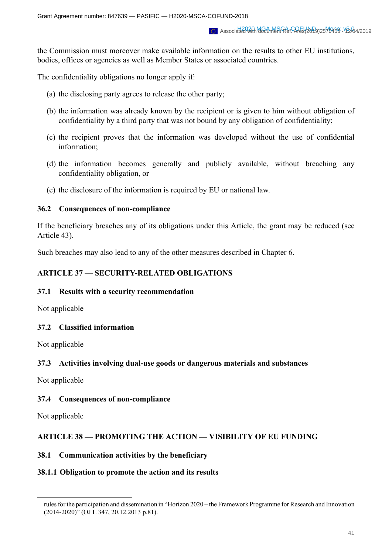the Commission must moreover make available information on the results to other EU institutions, bodies, offices or agencies as well as Member States or associated countries.

The confidentiality obligations no longer apply if:

- (a) the disclosing party agrees to release the other party;
- (b) the information was already known by the recipient or is given to him without obligation of confidentiality by a third party that was not bound by any obligation of confidentiality;
- (c) the recipient proves that the information was developed without the use of confidential information;
- (d) the information becomes generally and publicly available, without breaching any confidentiality obligation, or
- (e) the disclosure of the information is required by EU or national law.

#### **36.2 Consequences of non-compliance**

If the beneficiary breaches any of its obligations under this Article, the grant may be reduced (see Article 43).

Such breaches may also lead to any of the other measures described in Chapter 6.

### **ARTICLE 37 — SECURITY-RELATED OBLIGATIONS**

#### **37.1 Results with a security recommendation**

Not applicable

# **37.2 Classified information**

Not applicable

#### **37.3 Activities involving dual-use goods or dangerous materials and substances**

Not applicable

# **37.4 Consequences of non-compliance**

Not applicable

# **ARTICLE 38 — PROMOTING THE ACTION — VISIBILITY OF EU FUNDING**

#### **38.1 Communication activities by the beneficiary**

#### **38.1.1 Obligation to promote the action and its results**

rules for the participation and dissemination in "Horizon 2020 – the Framework Programme for Research and Innovation (2014-2020)" (OJ L 347, 20.12.2013 p.81).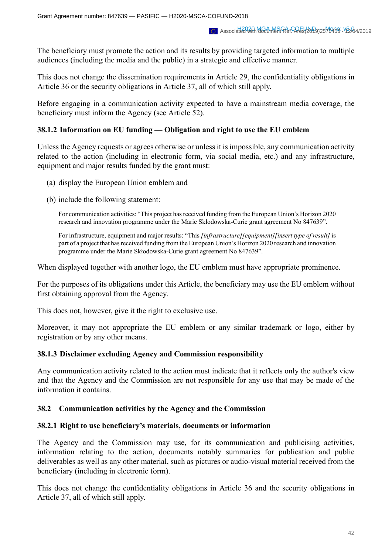The beneficiary must promote the action and its results by providing targeted information to multiple audiences (including the media and the public) in a strategic and effective manner.

This does not change the dissemination requirements in Article 29, the confidentiality obligations in Article 36 or the security obligations in Article 37, all of which still apply.

Before engaging in a communication activity expected to have a mainstream media coverage, the beneficiary must inform the Agency (see Article 52).

### **38.1.2** Information on EU funding — Obligation and right to use the EU emblem

Unless the Agency requests or agrees otherwise or unless it is impossible, any communication activity related to the action (including in electronic form, via social media, etc.) and any infrastructure, equipment and major results funded by the grant must:

- (a) display the European Union emblem and
- (b) include the following statement:

For communication activities: "This project hasreceived funding from the European Union's Horizon 2020 research and innovation programme under the Marie Skłodowska-Curie grant agreement No 847639".

For infrastructure, equipment and major results: "This *[infrastructure][equipment][insert type of result]* is part of a project that hasreceived funding from the European Union's Horizon 2020 research and innovation programme under the Marie Skłodowska-Curie grant agreement No 847639".

When displayed together with another logo, the EU emblem must have appropriate prominence.

For the purposes of its obligations under this Article, the beneficiary may use the EU emblem without first obtaining approval from the Agency.

This does not, however, give it the right to exclusive use.

Moreover, it may not appropriate the EU emblem or any similar trademark or logo, either by registration or by any other means.

#### **38.1.3 Disclaimer excluding Agency and Commission responsibility**

Any communication activity related to the action must indicate that it reflects only the author's view and that the Agency and the Commission are not responsible for any use that may be made of the information it contains.

#### **38.2 Communication activities by the Agency and the Commission**

#### **38.2.1 Right to use beneficiary's materials, documents or information**

The Agency and the Commission may use, for its communication and publicising activities, information relating to the action, documents notably summaries for publication and public deliverables as well as any other material, such as pictures or audio-visual material received from the beneficiary (including in electronic form).

This does not change the confidentiality obligations in Article 36 and the security obligations in Article 37, all of which still apply.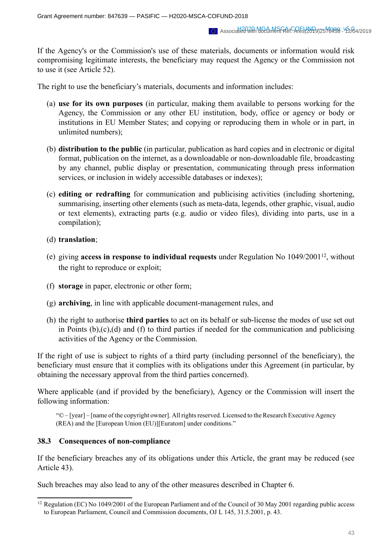If the Agency's or the Commission's use of these materials, documents or information would risk compromising legitimate interests, the beneficiary may request the Agency or the Commission not to use it (see Article 52).

The right to use the beneficiary's materials, documents and information includes:

- (a) **use for its own purposes** (in particular, making them available to persons working for the Agency, the Commission or any other EU institution, body, office or agency or body or institutions in EU Member States; and copying or reproducing them in whole or in part, in unlimited numbers);
- (b) **distribution to the public** (in particular, publication as hard copies and in electronic or digital format, publication on the internet, as a downloadable or non-downloadable file, broadcasting by any channel, public display or presentation, communicating through press information services, or inclusion in widely accessible databases or indexes);
- (c) **editing or redrafting** for communication and publicising activities (including shortening, summarising, inserting other elements (such as meta-data, legends, other graphic, visual, audio or text elements), extracting parts (e.g. audio or video files), dividing into parts, use in a compilation);

### (d) **translation**;

- (e) giving **access in response to individual requests** under Regulation No 1049/200112, without the right to reproduce or exploit;
- (f) **storage** in paper, electronic or other form;
- (g) **archiving**, in line with applicable document-management rules, and
- (h) the right to authorise **third parties** to act on its behalf or sub-license the modes of use set out in Points (b),(c),(d) and (f) to third parties if needed for the communication and publicising activities of the Agency or the Commission.

If the right of use is subject to rights of a third party (including personnel of the beneficiary), the beneficiary must ensure that it complies with its obligations under this Agreement (in particular, by obtaining the necessary approval from the third parties concerned).

Where applicable (and if provided by the beneficiary), Agency or the Commission will insert the following information:

"© – [year] – [name of the copyright owner]. All rights reserved. Licensed to the Research Executive Agency (REA) and the [European Union (EU)][Euratom] under conditions."

#### **38.3 Consequences of non-compliance**

If the beneficiary breaches any of its obligations under this Article, the grant may be reduced (see Article 43).

Such breaches may also lead to any of the other measures described in Chapter 6.

<sup>12</sup> Regulation (EC) No 1049/2001 of the European Parliament and of the Council of 30 May 2001 regarding public access to European Parliament, Council and Commission documents, OJ L 145, 31.5.2001, p. 43.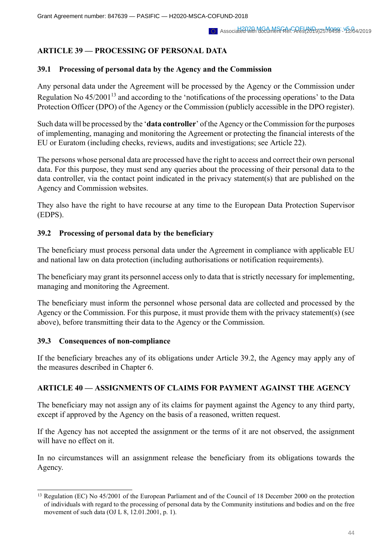# **ARTICLE 39 — PROCESSING OF PERSONAL DATA**

## **39.1 Processing of personal data by the Agency and the Commission**

Any personal data under the Agreement will be processed by the Agency or the Commission under Regulation No  $45/2001^{13}$  and according to the 'notifications of the processing operations' to the Data Protection Officer (DPO) of the Agency or the Commission (publicly accessible in the DPO register).

Such data will be processed by the '**data controller**' of the Agency or the Commission for the purposes of implementing, managing and monitoring the Agreement or protecting the financial interests of the EU or Euratom (including checks, reviews, audits and investigations; see Article 22).

The persons whose personal data are processed have the right to access and correct their own personal data. For this purpose, they must send any queries about the processing of their personal data to the data controller, via the contact point indicated in the privacy statement(s) that are published on the Agency and Commission websites.

They also have the right to have recourse at any time to the European Data Protection Supervisor (EDPS).

# **39.2 Processing of personal data by the beneficiary**

The beneficiary must process personal data under the Agreement in compliance with applicable EU and national law on data protection (including authorisations or notification requirements).

The beneficiary may grant its personnel access only to data that is strictly necessary for implementing, managing and monitoring the Agreement.

The beneficiary must inform the personnel whose personal data are collected and processed by the Agency or the Commission. For this purpose, it must provide them with the privacy statement(s) (see above), before transmitting their data to the Agency or the Commission.

#### **39.3 Consequences of non-compliance**

If the beneficiary breaches any of its obligations under Article 39.2, the Agency may apply any of the measures described in Chapter 6.

# **ARTICLE 40 — ASSIGNMENTS OF CLAIMS FOR PAYMENT AGAINST THE AGENCY**

The beneficiary may not assign any of its claims for payment against the Agency to any third party, except if approved by the Agency on the basis of a reasoned, written request.

If the Agency has not accepted the assignment or the terms of it are not observed, the assignment will have no effect on it.

In no circumstances will an assignment release the beneficiary from its obligations towards the Agency.

<sup>&</sup>lt;sup>13</sup> Regulation (EC) No 45/2001 of the European Parliament and of the Council of 18 December 2000 on the protection of individuals with regard to the processing of personal data by the Community institutions and bodies and on the free movement of such data (OJ L 8, 12.01.2001, p. 1).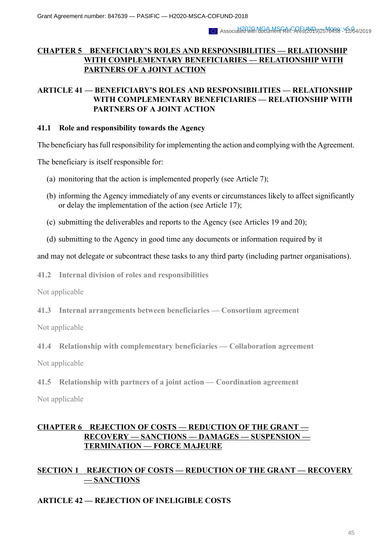# **CHAPTER 5 BENEFICIARY'S ROLES AND RESPONSIBILITIES — RELATIONSHIP WITH COMPLEMENTARY BENEFICIARIES — RELATIONSHIP WITH PARTNERS OF A JOINT ACTION**

# **ARTICLE 41 — BENEFICIARY'S ROLES AND RESPONSIBILITIES — RELATIONSHIP WITH COMPLEMENTARY BENEFICIARIES — RELATIONSHIP WITH PARTNERS OF A JOINT ACTION**

#### **41.1 Role and responsibility towards the Agency**

The beneficiary has full responsibility for implementing the action and complying with the Agreement.

The beneficiary is itself responsible for:

- (a) monitoring that the action is implemented properly (see Article 7);
- (b) informing the Agency immediately of any events or circumstances likely to affect significantly or delay the implementation of the action (see Article 17);
- (c) submitting the deliverables and reports to the Agency (see Articles 19 and 20);
- (d) submitting to the Agency in good time any documents or information required by it

and may not delegate or subcontract these tasks to any third party (including partner organisations).

**41.2 Internal division of roles and responsibilities**

Not applicable

**41.3 Internal arrangements between beneficiaries — Consortium agreement**

Not applicable

**41.4 Relationship with complementary beneficiaries — Collaboration agreement**

Not applicable

**41.5 Relationship with partners of a joint action — Coordination agreement**

Not applicable

# **CHAPTER 6 REJECTION OF COSTS — REDUCTION OF THE GRANT — RECOVERY — SANCTIONS — DAMAGES — SUSPENSION — TERMINATION — FORCE MAJEURE**

# **SECTION 1 REJECTION OF COSTS — REDUCTION OF THE GRANT — RECOVERY — SANCTIONS**

# **ARTICLE 42 — REJECTION OF INELIGIBLE COSTS**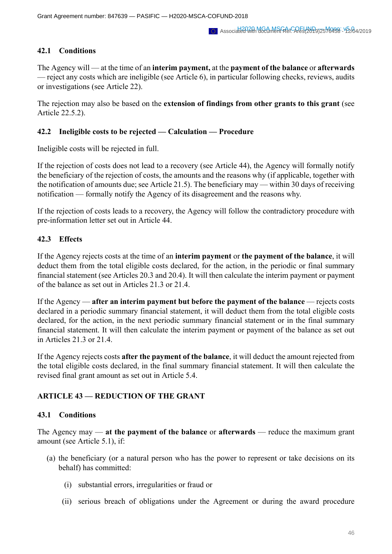# **42.1 Conditions**

The Agency will — at the time of an **interim payment,** at the **payment of the balance** or **afterwards** — reject any costs which are ineligible (see Article 6), in particular following checks, reviews, audits or investigations (see Article 22).

The rejection may also be based on the **extension of findings from other grants to this grant** (see Article 22.5.2).

# **42.2 Ineligible costs to be rejected — Calculation — Procedure**

Ineligible costs will be rejected in full.

If the rejection of costs does not lead to a recovery (see Article 44), the Agency will formally notify the beneficiary of the rejection of costs, the amounts and the reasons why (if applicable, together with the notification of amounts due; see Article 21.5). The beneficiary may — within 30 days of receiving notification — formally notify the Agency of its disagreement and the reasons why.

If the rejection of costs leads to a recovery, the Agency will follow the contradictory procedure with pre-information letter set out in Article 44.

# **42.3 Effects**

If the Agency rejects costs at the time of an **interim payment** or **the payment of the balance**, it will deduct them from the total eligible costs declared, for the action, in the periodic or final summary financial statement (see Articles 20.3 and 20.4). It will then calculate the interim payment or payment of the balance as set out in Articles 21.3 or 21.4.

If the Agency — **after an interim payment but before the payment of the balance** — rejects costs declared in a periodic summary financial statement, it will deduct them from the total eligible costs declared, for the action, in the next periodic summary financial statement or in the final summary financial statement. It will then calculate the interim payment or payment of the balance as set out in Articles 21.3 or 21.4.

If the Agency rejects costs **after the payment of the balance**, it will deduct the amount rejected from the total eligible costs declared, in the final summary financial statement. It will then calculate the revised final grant amount as set out in Article 5.4.

# **ARTICLE 43 — REDUCTION OF THE GRANT**

# **43.1 Conditions**

The Agency may — **at the payment of the balance** or **afterwards** — reduce the maximum grant amount (see Article 5.1), if:

- (a) the beneficiary (or a natural person who has the power to represent or take decisions on its behalf) has committed:
	- (i) substantial errors, irregularities or fraud or
	- (ii) serious breach of obligations under the Agreement or during the award procedure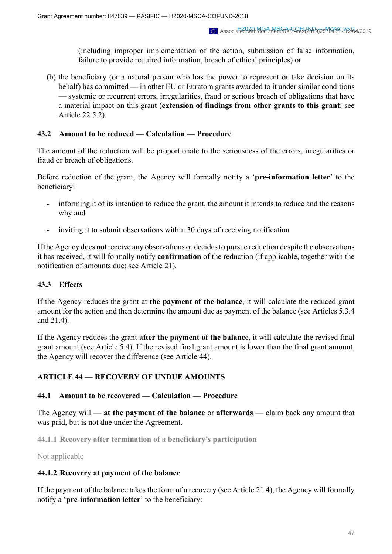(including improper implementation of the action, submission of false information, failure to provide required information, breach of ethical principles) or

(b) the beneficiary (or a natural person who has the power to represent or take decision on its behalf) has committed — in other EU or Euratom grants awarded to it under similar conditions — systemic or recurrent errors, irregularities, fraud or serious breach of obligations that have a material impact on this grant (**extension of findings from other grants to this grant**; see Article 22.5.2).

### **43.2 Amount to be reduced — Calculation — Procedure**

The amount of the reduction will be proportionate to the seriousness of the errors, irregularities or fraud or breach of obligations.

Before reduction of the grant, the Agency will formally notify a '**pre-information letter**' to the beneficiary:

- informing it of its intention to reduce the grant, the amount it intends to reduce and the reasons why and
- inviting it to submit observations within 30 days of receiving notification

If the Agency does not receive any observations or decides to pursue reduction despite the observations it has received, it will formally notify **confirmation** of the reduction (if applicable, together with the notification of amounts due; see Article 21).

# **43.3 Effects**

If the Agency reduces the grant at **the payment of the balance**, it will calculate the reduced grant amount for the action and then determine the amount due as payment of the balance (see Articles 5.3.4 and 21.4).

If the Agency reduces the grant **after the payment of the balance**, it will calculate the revised final grant amount (see Article 5.4). If the revised final grant amount is lower than the final grant amount, the Agency will recover the difference (see Article 44).

# **ARTICLE 44 — RECOVERY OF UNDUE AMOUNTS**

#### **44.1 Amount to be recovered — Calculation — Procedure**

The Agency will — **at the payment of the balance** or **afterwards** — claim back any amount that was paid, but is not due under the Agreement.

**44.1.1 Recovery after termination of a beneficiary's participation**

Not applicable

#### **44.1.2 Recovery at payment of the balance**

If the payment of the balance takes the form of a recovery (see Article 21.4), the Agency will formally notify a '**pre-information letter**' to the beneficiary: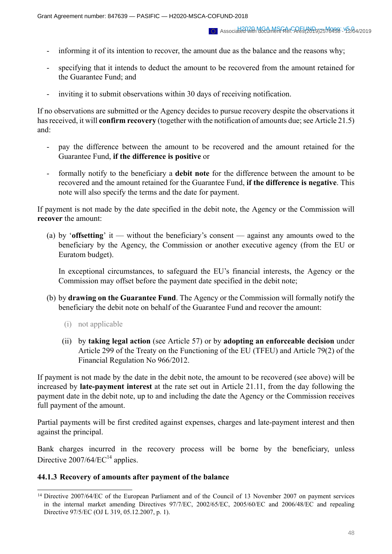- informing it of its intention to recover, the amount due as the balance and the reasons why;
- specifying that it intends to deduct the amount to be recovered from the amount retained for the Guarantee Fund; and
- inviting it to submit observations within 30 days of receiving notification.

If no observations are submitted or the Agency decides to pursue recovery despite the observations it has received, it will **confirm recovery** (together with the notification of amounts due; see Article 21.5) and:

- pay the difference between the amount to be recovered and the amount retained for the Guarantee Fund, **if the difference is positive** or
- formally notify to the beneficiary a **debit note** for the difference between the amount to be recovered and the amount retained for the Guarantee Fund, **if the difference is negative**. This note will also specify the terms and the date for payment.

If payment is not made by the date specified in the debit note, the Agency or the Commission will **recover** the amount:

(a) by '**offsetting**' it — without the beneficiary's consent — against any amounts owed to the beneficiary by the Agency, the Commission or another executive agency (from the EU or Euratom budget).

In exceptional circumstances, to safeguard the EU's financial interests, the Agency or the Commission may offset before the payment date specified in the debit note;

- (b) by **drawing on the Guarantee Fund**. The Agency or the Commission will formally notify the beneficiary the debit note on behalf of the Guarantee Fund and recover the amount:
	- (i) not applicable
	- (ii) by **taking legal action** (see Article 57) or by **adopting an enforceable decision** under Article 299 of the Treaty on the Functioning of the EU (TFEU) and Article 79(2) of the Financial Regulation No 966/2012.

If payment is not made by the date in the debit note, the amount to be recovered (see above) will be increased by **late-payment interest** at the rate set out in Article 21.11, from the day following the payment date in the debit note, up to and including the date the Agency or the Commission receives full payment of the amount.

Partial payments will be first credited against expenses, charges and late-payment interest and then against the principal.

Bank charges incurred in the recovery process will be borne by the beneficiary, unless Directive  $2007/64/EC^{14}$  applies.

#### **44.1.3 Recovery of amounts after payment of the balance**

<sup>&</sup>lt;sup>14</sup> Directive 2007/64/EC of the European Parliament and of the Council of 13 November 2007 on payment services in the internal market amending Directives 97/7/EC, 2002/65/EC, 2005/60/EC and 2006/48/EC and repealing Directive 97/5/EC (OJ L 319, 05.12.2007, p. 1).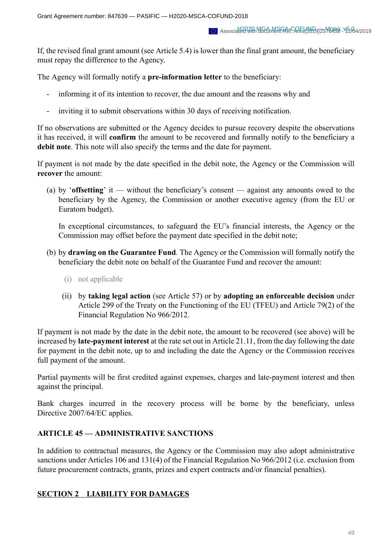If, the revised final grant amount (see Article 5.4) is lower than the final grant amount, the beneficiary must repay the difference to the Agency.

The Agency will formally notify a **pre-information letter** to the beneficiary:

- informing it of its intention to recover, the due amount and the reasons why and
- inviting it to submit observations within 30 days of receiving notification.

If no observations are submitted or the Agency decides to pursue recovery despite the observations it has received, it will **confirm** the amount to be recovered and formally notify to the beneficiary a **debit note**. This note will also specify the terms and the date for payment.

If payment is not made by the date specified in the debit note, the Agency or the Commission will **recover** the amount:

(a) by '**offsetting**' it — without the beneficiary's consent — against any amounts owed to the beneficiary by the Agency, the Commission or another executive agency (from the EU or Euratom budget).

In exceptional circumstances, to safeguard the EU's financial interests, the Agency or the Commission may offset before the payment date specified in the debit note;

- (b) by **drawing on the Guarantee Fund**. The Agency or the Commission will formally notify the beneficiary the debit note on behalf of the Guarantee Fund and recover the amount:
	- (i) not applicable
	- (ii) by **taking legal action** (see Article 57) or by **adopting an enforceable decision** under Article 299 of the Treaty on the Functioning of the EU (TFEU) and Article 79(2) of the Financial Regulation No 966/2012.

If payment is not made by the date in the debit note, the amount to be recovered (see above) will be increased by **late-payment interest** at the rate set out in Article 21.11, from the day following the date for payment in the debit note, up to and including the date the Agency or the Commission receives full payment of the amount.

Partial payments will be first credited against expenses, charges and late-payment interest and then against the principal.

Bank charges incurred in the recovery process will be borne by the beneficiary, unless Directive 2007/64/EC applies.

# **ARTICLE 45 — ADMINISTRATIVE SANCTIONS**

In addition to contractual measures, the Agency or the Commission may also adopt administrative sanctions under Articles 106 and 131(4) of the Financial Regulation No 966/2012 (i.e. exclusion from future procurement contracts, grants, prizes and expert contracts and/or financial penalties).

# **SECTION 2 LIABILITY FOR DAMAGES**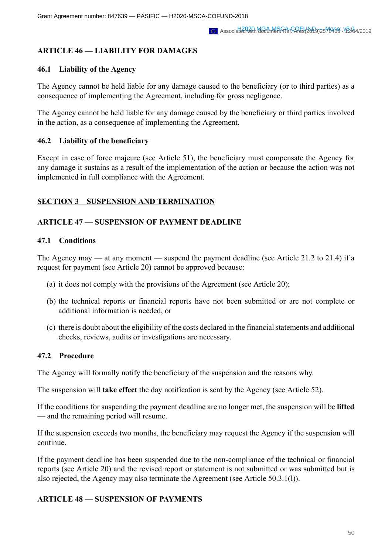# **ARTICLE 46 — LIABILITY FOR DAMAGES**

### **46.1 Liability of the Agency**

The Agency cannot be held liable for any damage caused to the beneficiary (or to third parties) as a consequence of implementing the Agreement, including for gross negligence.

The Agency cannot be held liable for any damage caused by the beneficiary or third parties involved in the action, as a consequence of implementing the Agreement.

### **46.2 Liability of the beneficiary**

Except in case of force majeure (see Article 51), the beneficiary must compensate the Agency for any damage it sustains as a result of the implementation of the action or because the action was not implemented in full compliance with the Agreement.

### **SECTION 3 SUSPENSION AND TERMINATION**

### **ARTICLE 47 — SUSPENSION OF PAYMENT DEADLINE**

#### **47.1 Conditions**

The Agency may — at any moment — suspend the payment deadline (see Article 21.2 to 21.4) if a request for payment (see Article 20) cannot be approved because:

- (a) it does not comply with the provisions of the Agreement (see Article 20);
- (b) the technical reports or financial reports have not been submitted or are not complete or additional information is needed, or
- (c) there is doubt about the eligibility of the costs declared in the financial statements and additional checks, reviews, audits or investigations are necessary.

# **47.2 Procedure**

The Agency will formally notify the beneficiary of the suspension and the reasons why.

The suspension will **take effect** the day notification is sent by the Agency (see Article 52).

If the conditions for suspending the payment deadline are no longer met, the suspension will be **lifted** — and the remaining period will resume.

If the suspension exceeds two months, the beneficiary may request the Agency if the suspension will continue.

If the payment deadline has been suspended due to the non-compliance of the technical or financial reports (see Article 20) and the revised report or statement is not submitted or was submitted but is also rejected, the Agency may also terminate the Agreement (see Article 50.3.1(l)).

#### **ARTICLE 48 — SUSPENSION OF PAYMENTS**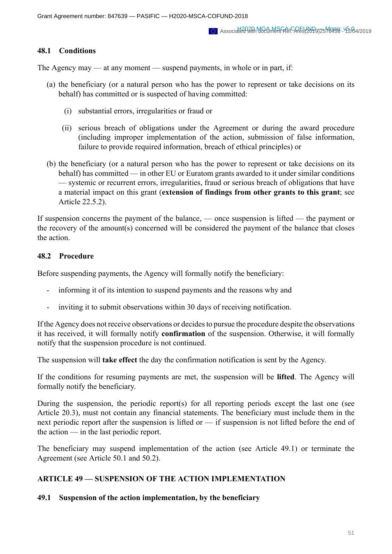### **48.1 Conditions**

The Agency may — at any moment — suspend payments, in whole or in part, if:

- (a) the beneficiary (or a natural person who has the power to represent or take decisions on its behalf) has committed or is suspected of having committed:
	- (i) substantial errors, irregularities or fraud or
	- (ii) serious breach of obligations under the Agreement or during the award procedure (including improper implementation of the action, submission of false information, failure to provide required information, breach of ethical principles) or
- (b) the beneficiary (or a natural person who has the power to represent or take decisions on its behalf) has committed — in other EU or Euratom grants awarded to it under similar conditions — systemic or recurrent errors, irregularities, fraud or serious breach of obligations that have a material impact on this grant (**extension of findings from other grants to this grant**; see Article 22.5.2).

If suspension concerns the payment of the balance, — once suspension is lifted — the payment or the recovery of the amount(s) concerned will be considered the payment of the balance that closes the action.

### **48.2 Procedure**

Before suspending payments, the Agency will formally notify the beneficiary:

- informing it of its intention to suspend payments and the reasons why and
- inviting it to submit observations within 30 days of receiving notification.

If the Agency does not receive observations or decides to pursue the procedure despite the observations it has received, it will formally notify **confirmation** of the suspension. Otherwise, it will formally notify that the suspension procedure is not continued.

The suspension will **take effect** the day the confirmation notification is sent by the Agency.

If the conditions for resuming payments are met, the suspension will be **lifted**. The Agency will formally notify the beneficiary.

During the suspension, the periodic report(s) for all reporting periods except the last one (see Article 20.3), must not contain any financial statements. The beneficiary must include them in the next periodic report after the suspension is lifted or — if suspension is not lifted before the end of the action — in the last periodic report.

The beneficiary may suspend implementation of the action (see Article 49.1) or terminate the Agreement (see Article 50.1 and 50.2).

# **ARTICLE 49 — SUSPENSION OF THE ACTION IMPLEMENTATION**

#### **49.1 Suspension of the action implementation, by the beneficiary**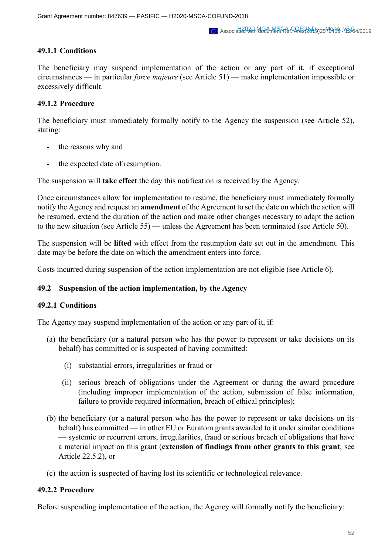# **49.1.1 Conditions**

The beneficiary may suspend implementation of the action or any part of it, if exceptional circumstances — in particular *force majeure* (see Article 51) — make implementation impossible or excessively difficult.

# **49.1.2 Procedure**

The beneficiary must immediately formally notify to the Agency the suspension (see Article 52), stating:

- the reasons why and
- the expected date of resumption.

The suspension will **take effect** the day this notification is received by the Agency.

Once circumstances allow for implementation to resume, the beneficiary must immediately formally notify the Agency and request an **amendment** of the Agreement to set the date on which the action will be resumed, extend the duration of the action and make other changes necessary to adapt the action to the new situation (see Article 55) — unless the Agreement has been terminated (see Article 50).

The suspension will be **lifted** with effect from the resumption date set out in the amendment. This date may be before the date on which the amendment enters into force.

Costs incurred during suspension of the action implementation are not eligible (see Article 6).

# **49.2 Suspension of the action implementation, by the Agency**

# **49.2.1 Conditions**

The Agency may suspend implementation of the action or any part of it, if:

- (a) the beneficiary (or a natural person who has the power to represent or take decisions on its behalf) has committed or is suspected of having committed:
	- (i) substantial errors, irregularities or fraud or
	- (ii) serious breach of obligations under the Agreement or during the award procedure (including improper implementation of the action, submission of false information, failure to provide required information, breach of ethical principles);
- (b) the beneficiary (or a natural person who has the power to represent or take decisions on its behalf) has committed — in other EU or Euratom grants awarded to it under similar conditions — systemic or recurrent errors, irregularities, fraud or serious breach of obligations that have a material impact on this grant (**extension of findings from other grants to this grant**; see Article 22.5.2), or
- (c) the action is suspected of having lost its scientific or technological relevance.

# **49.2.2 Procedure**

Before suspending implementation of the action, the Agency will formally notify the beneficiary: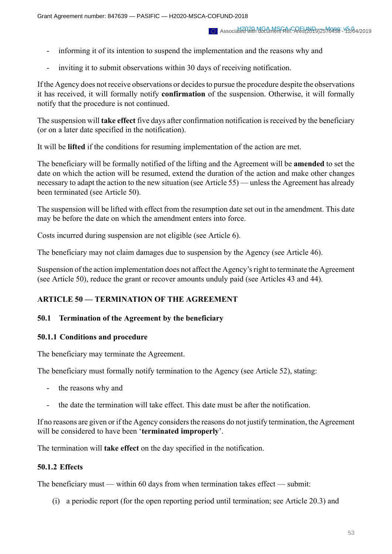- informing it of its intention to suspend the implementation and the reasons why and
- inviting it to submit observations within 30 days of receiving notification.

If the Agency does not receive observations or decides to pursue the procedure despite the observations it has received, it will formally notify **confirmation** of the suspension. Otherwise, it will formally notify that the procedure is not continued.

The suspension will **take effect** five days after confirmation notification is received by the beneficiary (or on a later date specified in the notification).

It will be **lifted** if the conditions for resuming implementation of the action are met.

The beneficiary will be formally notified of the lifting and the Agreement will be **amended** to set the date on which the action will be resumed, extend the duration of the action and make other changes necessary to adapt the action to the new situation (see Article 55) — unless the Agreement has already been terminated (see Article 50).

The suspension will be lifted with effect from the resumption date set out in the amendment. This date may be before the date on which the amendment enters into force.

Costs incurred during suspension are not eligible (see Article 6).

The beneficiary may not claim damages due to suspension by the Agency (see Article 46).

Suspension of the action implementation does not affect the Agency's right to terminate the Agreement (see Article 50), reduce the grant or recover amounts unduly paid (see Articles 43 and 44).

# **ARTICLE 50 — TERMINATION OF THE AGREEMENT**

# **50.1 Termination of the Agreement by the beneficiary**

# **50.1.1 Conditions and procedure**

The beneficiary may terminate the Agreement.

The beneficiary must formally notify termination to the Agency (see Article 52), stating:

- the reasons why and
- the date the termination will take effect. This date must be after the notification.

If no reasons are given or if the Agency considers the reasons do not justify termination, the Agreement will be considered to have been '**terminated improperly**'.

The termination will **take effect** on the day specified in the notification.

# **50.1.2 Effects**

The beneficiary must — within 60 days from when termination takes effect — submit:

(i) a periodic report (for the open reporting period until termination; see Article 20.3) and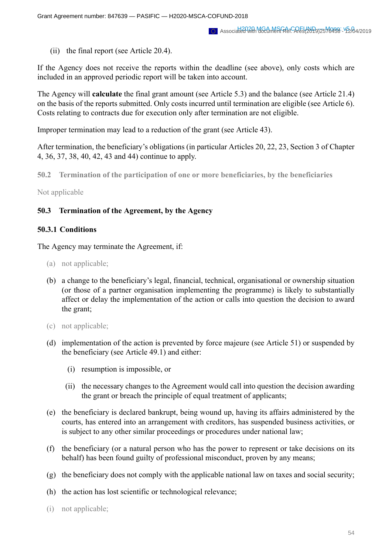(ii) the final report (see Article 20.4).

If the Agency does not receive the reports within the deadline (see above), only costs which are included in an approved periodic report will be taken into account.

The Agency will **calculate** the final grant amount (see Article 5.3) and the balance (see Article 21.4) on the basis of the reports submitted. Only costs incurred until termination are eligible (see Article 6). Costs relating to contracts due for execution only after termination are not eligible.

Improper termination may lead to a reduction of the grant (see Article 43).

After termination, the beneficiary's obligations (in particular Articles 20, 22, 23, Section 3 of Chapter 4, 36, 37, 38, 40, 42, 43 and 44) continue to apply.

**50.2 Termination of the participation of one or more beneficiaries, by the beneficiaries**

Not applicable

# **50.3 Termination of the Agreement, by the Agency**

### **50.3.1 Conditions**

The Agency may terminate the Agreement, if:

- (a) not applicable;
- (b) a change to the beneficiary's legal, financial, technical, organisational or ownership situation (or those of a partner organisation implementing the programme) is likely to substantially affect or delay the implementation of the action or calls into question the decision to award the grant;
- (c) not applicable;
- (d) implementation of the action is prevented by force majeure (see Article 51) or suspended by the beneficiary (see Article 49.1) and either:
	- (i) resumption is impossible, or
	- (ii) the necessary changes to the Agreement would call into question the decision awarding the grant or breach the principle of equal treatment of applicants;
- (e) the beneficiary is declared bankrupt, being wound up, having its affairs administered by the courts, has entered into an arrangement with creditors, has suspended business activities, or is subject to any other similar proceedings or procedures under national law;
- (f) the beneficiary (or a natural person who has the power to represent or take decisions on its behalf) has been found guilty of professional misconduct, proven by any means;
- (g) the beneficiary does not comply with the applicable national law on taxes and social security;
- (h) the action has lost scientific or technological relevance;
- (i) not applicable;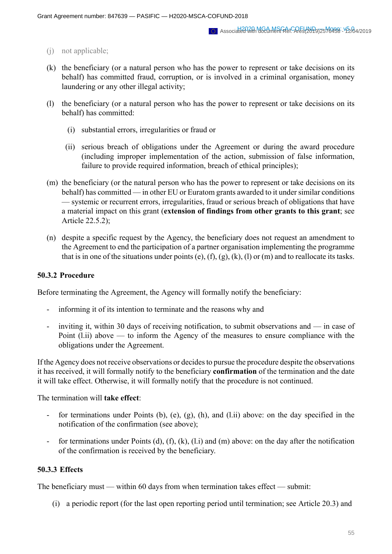- (j) not applicable;
- (k) the beneficiary (or a natural person who has the power to represent or take decisions on its behalf) has committed fraud, corruption, or is involved in a criminal organisation, money laundering or any other illegal activity;
- (l) the beneficiary (or a natural person who has the power to represent or take decisions on its behalf) has committed:
	- (i) substantial errors, irregularities or fraud or
	- (ii) serious breach of obligations under the Agreement or during the award procedure (including improper implementation of the action, submission of false information, failure to provide required information, breach of ethical principles);
- (m) the beneficiary (or the natural person who has the power to represent or take decisions on its behalf) has committed — in other EU or Euratom grants awarded to it under similar conditions — systemic or recurrent errors, irregularities, fraud or serious breach of obligations that have a material impact on this grant (**extension of findings from other grants to this grant**; see Article 22.5.2);
- (n) despite a specific request by the Agency, the beneficiary does not request an amendment to the Agreement to end the participation of a partner organisation implementing the programme that is in one of the situations under points (e), (f), (g), (k), (l) or (m) and to reallocate its tasks.

#### **50.3.2 Procedure**

Before terminating the Agreement, the Agency will formally notify the beneficiary:

- informing it of its intention to terminate and the reasons why and
- inviting it, within 30 days of receiving notification, to submit observations and in case of Point (l.ii) above — to inform the Agency of the measures to ensure compliance with the obligations under the Agreement.

If the Agency does not receive observations or decides to pursue the procedure despite the observations it has received, it will formally notify to the beneficiary **confirmation** of the termination and the date it will take effect. Otherwise, it will formally notify that the procedure is not continued.

The termination will **take effect**:

- for terminations under Points (b), (e), (g), (h), and (l.ii) above: on the day specified in the notification of the confirmation (see above);
- for terminations under Points (d), (f), (k), (l.i) and (m) above: on the day after the notification of the confirmation is received by the beneficiary.

#### **50.3.3 Effects**

The beneficiary must — within 60 days from when termination takes effect — submit:

(i) a periodic report (for the last open reporting period until termination; see Article 20.3) and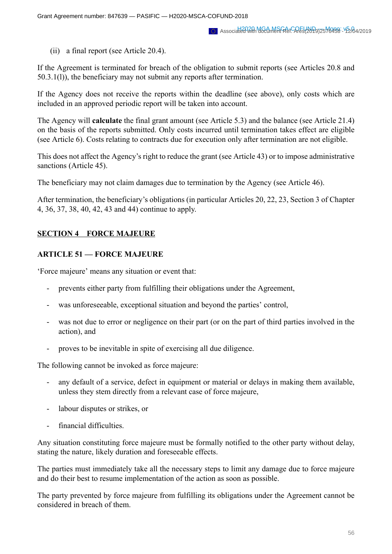(ii) a final report (see Article 20.4).

If the Agreement is terminated for breach of the obligation to submit reports (see Articles 20.8 and 50.3.1(l)), the beneficiary may not submit any reports after termination.

If the Agency does not receive the reports within the deadline (see above), only costs which are included in an approved periodic report will be taken into account.

The Agency will **calculate** the final grant amount (see Article 5.3) and the balance (see Article 21.4) on the basis of the reports submitted. Only costs incurred until termination takes effect are eligible (see Article 6). Costs relating to contracts due for execution only after termination are not eligible.

This does not affect the Agency's right to reduce the grant (see Article 43) or to impose administrative sanctions (Article 45).

The beneficiary may not claim damages due to termination by the Agency (see Article 46).

After termination, the beneficiary's obligations (in particular Articles 20, 22, 23, Section 3 of Chapter 4, 36, 37, 38, 40, 42, 43 and 44) continue to apply.

# **SECTION 4 FORCE MAJEURE**

# **ARTICLE 51 — FORCE MAJEURE**

'Force majeure' means any situation or event that:

- prevents either party from fulfilling their obligations under the Agreement,
- was unforeseeable, exceptional situation and beyond the parties' control,
- was not due to error or negligence on their part (or on the part of third parties involved in the action), and
- proves to be inevitable in spite of exercising all due diligence.

The following cannot be invoked as force majeure:

- any default of a service, defect in equipment or material or delays in making them available, unless they stem directly from a relevant case of force majeure,
- labour disputes or strikes, or
- financial difficulties.

Any situation constituting force majeure must be formally notified to the other party without delay, stating the nature, likely duration and foreseeable effects.

The parties must immediately take all the necessary steps to limit any damage due to force majeure and do their best to resume implementation of the action as soon as possible.

The party prevented by force majeure from fulfilling its obligations under the Agreement cannot be considered in breach of them.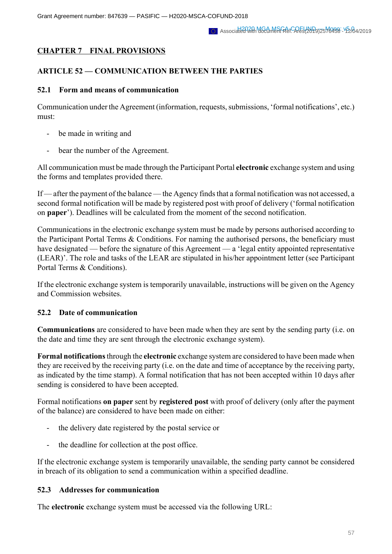# **CHAPTER 7 FINAL PROVISIONS**

# **ARTICLE 52 — COMMUNICATION BETWEEN THE PARTIES**

### **52.1 Form and means of communication**

Communication under the Agreement (information, requests, submissions, 'formal notifications', etc.) must:

- be made in writing and
- bear the number of the Agreement.

All communication must be made through the Participant Portal **electronic** exchange system and using the forms and templates provided there.

If — after the payment of the balance — the Agency finds that a formal notification was not accessed, a second formal notification will be made by registered post with proof of delivery ('formal notification on **paper**'). Deadlines will be calculated from the moment of the second notification.

Communications in the electronic exchange system must be made by persons authorised according to the Participant Portal Terms & Conditions. For naming the authorised persons, the beneficiary must have designated — before the signature of this Agreement — a 'legal entity appointed representative (LEAR)'. The role and tasks of the LEAR are stipulated in his/her appointment letter (see Participant Portal Terms & Conditions).

If the electronic exchange system is temporarily unavailable, instructions will be given on the Agency and Commission websites.

# **52.2 Date of communication**

**Communications** are considered to have been made when they are sent by the sending party (i.e. on the date and time they are sent through the electronic exchange system).

**Formal notifications** through the **electronic** exchange system are considered to have been made when they are received by the receiving party (i.e. on the date and time of acceptance by the receiving party, as indicated by the time stamp). A formal notification that has not been accepted within 10 days after sending is considered to have been accepted.

Formal notifications **on paper** sent by **registered post** with proof of delivery (only after the payment of the balance) are considered to have been made on either:

- the delivery date registered by the postal service or
- the deadline for collection at the post office.

If the electronic exchange system is temporarily unavailable, the sending party cannot be considered in breach of its obligation to send a communication within a specified deadline.

#### **52.3 Addresses for communication**

The **electronic** exchange system must be accessed via the following URL: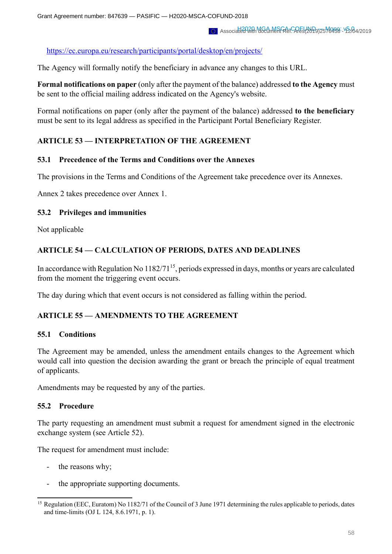https://ec.europa.eu/research/participants/portal/desktop/en/projects/

The Agency will formally notify the beneficiary in advance any changes to this URL.

**Formal notifications on paper** (only after the payment of the balance) addressed **to the Agency** must be sent to the official mailing address indicated on the Agency's website.

Formal notifications on paper (only after the payment of the balance) addressed **to the beneficiary** must be sent to its legal address as specified in the Participant Portal Beneficiary Register.

# **ARTICLE 53 — INTERPRETATION OF THE AGREEMENT**

### **53.1 Precedence of the Terms and Conditions over the Annexes**

The provisions in the Terms and Conditions of the Agreement take precedence over its Annexes.

Annex 2 takes precedence over Annex 1.

### **53.2 Privileges and immunities**

Not applicable

# **ARTICLE 54 — CALCULATION OF PERIODS, DATES AND DEADLINES**

In accordance with Regulation No 1182/71<sup>15</sup>, periods expressed in days, months or years are calculated from the moment the triggering event occurs.

The day during which that event occurs is not considered as falling within the period.

# **ARTICLE 55 — AMENDMENTS TO THE AGREEMENT**

#### **55.1 Conditions**

The Agreement may be amended, unless the amendment entails changes to the Agreement which would call into question the decision awarding the grant or breach the principle of equal treatment of applicants.

Amendments may be requested by any of the parties.

# **55.2 Procedure**

The party requesting an amendment must submit a request for amendment signed in the electronic exchange system (see Article 52).

The request for amendment must include:

- the reasons why;
- the appropriate supporting documents.

<sup>&</sup>lt;sup>15</sup> Regulation (EEC, Euratom) No 1182/71 of the Council of 3 June 1971 determining the rules applicable to periods, dates and time-limits (OJ L 124, 8.6.1971, p. 1).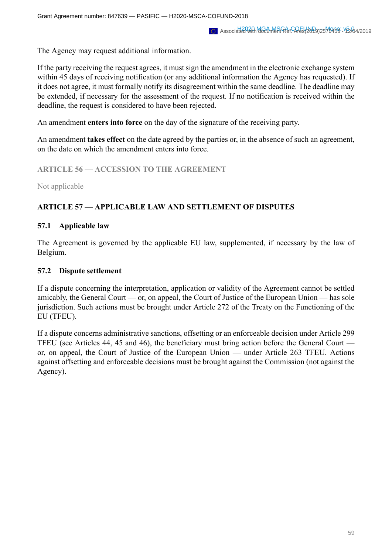The Agency may request additional information.

If the party receiving the request agrees, it must sign the amendment in the electronic exchange system within 45 days of receiving notification (or any additional information the Agency has requested). If it does not agree, it must formally notify its disagreement within the same deadline. The deadline may be extended, if necessary for the assessment of the request. If no notification is received within the deadline, the request is considered to have been rejected.

An amendment **enters into force** on the day of the signature of the receiving party.

An amendment **takes effect** on the date agreed by the parties or, in the absence of such an agreement, on the date on which the amendment enters into force.

**ARTICLE 56 — ACCESSION TO THE AGREEMENT**

Not applicable

# **ARTICLE 57 — APPLICABLE LAW AND SETTLEMENT OF DISPUTES**

# **57.1 Applicable law**

The Agreement is governed by the applicable EU law, supplemented, if necessary by the law of Belgium.

### **57.2 Dispute settlement**

If a dispute concerning the interpretation, application or validity of the Agreement cannot be settled amicably, the General Court — or, on appeal, the Court of Justice of the European Union — has sole jurisdiction. Such actions must be brought under Article 272 of the Treaty on the Functioning of the EU (TFEU).

If a dispute concerns administrative sanctions, offsetting or an enforceable decision under Article 299 TFEU (see Articles 44, 45 and 46), the beneficiary must bring action before the General Court or, on appeal, the Court of Justice of the European Union — under Article 263 TFEU. Actions against offsetting and enforceable decisions must be brought against the Commission (not against the Agency).